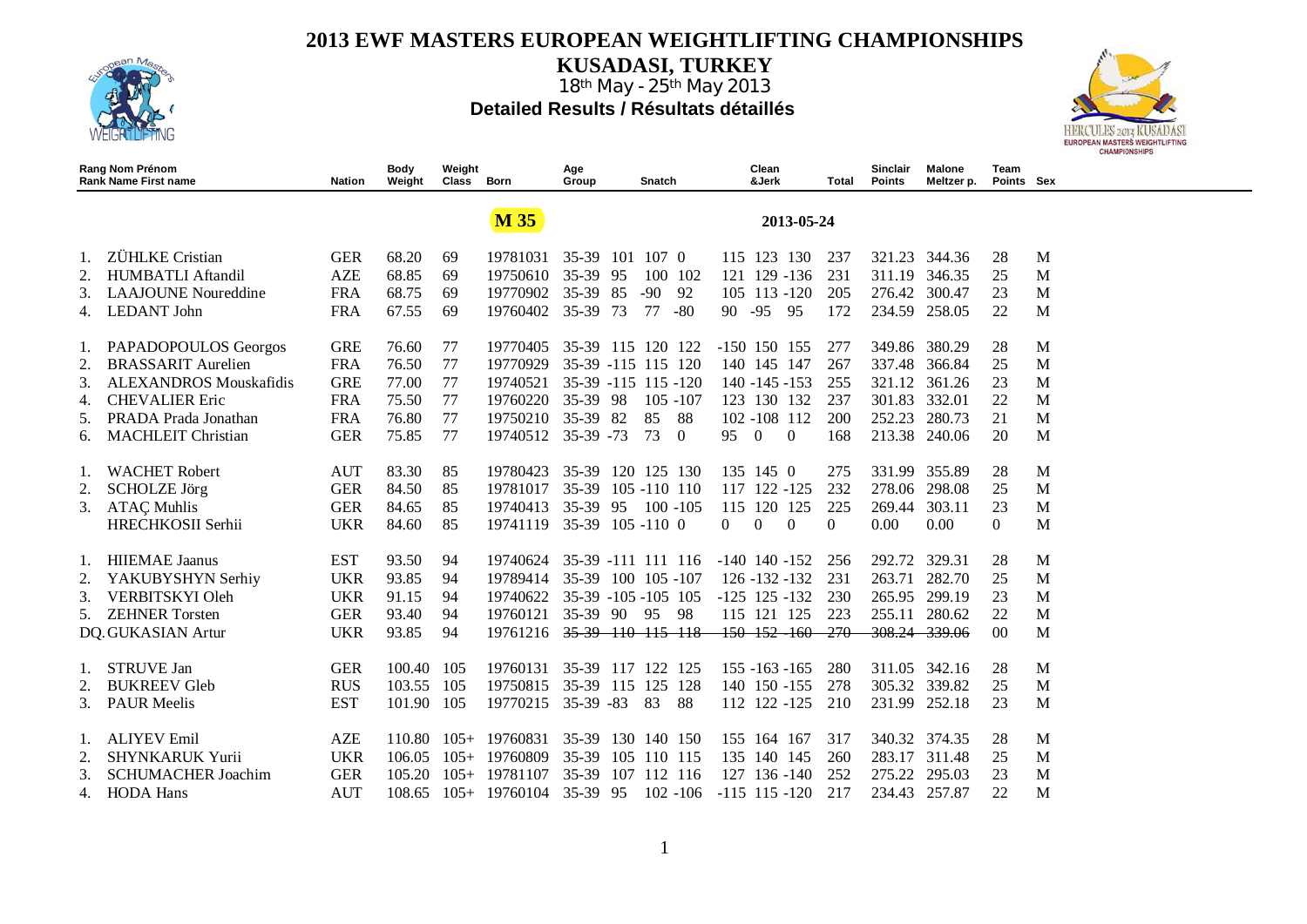

**KUSADASI, TURKEY**



|                | Rang Nom Prénom<br><b>Rank Name First name</b> | Nation     | Body<br>Weight | Weight<br>Class | Born            | Age<br>Group        |     | Snatch       |             |                     | Clean<br>&Jerk    |              | Total            | Sinclair<br><b>Points</b> | Malone<br>Meltzer p. | Team<br>Points Sex |   |
|----------------|------------------------------------------------|------------|----------------|-----------------|-----------------|---------------------|-----|--------------|-------------|---------------------|-------------------|--------------|------------------|---------------------------|----------------------|--------------------|---|
|                |                                                |            |                |                 | <b>M35</b>      |                     |     |              |             |                     |                   | 2013-05-24   |                  |                           |                      |                    |   |
| 1.             | ZÜHLKE Cristian                                | <b>GER</b> | 68.20          | 69              | 19781031        | $35-39$             | 101 | 107 0        |             |                     | 115 123 130       |              | 237              | 321.23                    | 344.36               | 28                 | M |
| 2.             | <b>HUMBATLI Aftandil</b>                       | <b>AZE</b> | 68.85          | 69              | 19750610        | 35-39 95            |     |              | 100 102     |                     |                   | 121 129 -136 | 231              | 311.19                    | 346.35               | 25                 | M |
| 3.             | <b>LAAJOUNE</b> Noureddine                     | <b>FRA</b> | 68.75          | 69              | 19770902        | $35-39$             | 85  | $-90$        | 92          |                     |                   | 105 113 -120 | 205              | 276.42                    | 300.47               | 23                 | M |
| 4.             | <b>LEDANT</b> John                             | <b>FRA</b> | 67.55          | 69              | 19760402        | $35 - 39$           | 73  | 77           | $-80$       | 90                  | $-95$             | 95           | 172              | 234.59                    | 258.05               | 22                 | M |
| $\mathbf{I}$ . | PAPADOPOULOS Georgos                           | <b>GRE</b> | 76.60          | 77              | 19770405        | 35-39 115 120 122   |     |              |             | $-150$ 150 155      |                   |              | 277              | 349.86                    | 380.29               | 28                 | M |
|                | <b>BRASSARIT Aurelien</b>                      | <b>FRA</b> | 76.50          | 77              | 19770929        | 35-39 -115 115 120  |     |              |             |                     | 140 145 147       |              | 267              | 337.48                    | 366.84               | 25                 | M |
| 3.             | <b>ALEXANDROS Mouskafidis</b>                  | <b>GRE</b> | 77.00          | 77              | 19740521        | 35-39 -115 115 -120 |     |              |             |                     | $140 - 145 - 153$ |              | 255              | 321.12                    | 361.26               | 23                 | M |
| 4.             | <b>CHEVALIER Eric</b>                          | <b>FRA</b> | 75.50          | 77              | 19760220        | 35-39 98            |     |              | $105 - 107$ |                     | 123 130 132       |              | 237              | 301.83                    | 332.01               | 22                 | M |
| 5.             | PRADA Prada Jonathan                           | <b>FRA</b> | 76.80          | 77              | 19750210        | 35-39               | -82 | 85           | 88          |                     | 102 -108 112      |              | 200              | 252.23                    | 280.73               | 21                 | M |
| 6.             | <b>MACHLEIT Christian</b>                      | <b>GER</b> | 75.85          | 77              | 19740512        | $35-39 - 73$        |     | 73           | $\Omega$    | 95                  | $\overline{0}$    | $\theta$     | 168              | 213.38                    | 240.06               | 20                 | M |
|                | <b>WACHET Robert</b>                           | <b>AUT</b> | 83.30          | 85              | 19780423        | 35-39 120 125 130   |     |              |             |                     | 135 145 0         |              | 275              | 331.99                    | 355.89               | 28                 | M |
| 2.             | <b>SCHOLZE</b> Jörg                            | <b>GER</b> | 84.50          | 85              | 19781017        | $35-39$             |     | 105 -110 110 |             |                     | 117 122 -125      |              | 232              | 278.06                    | 298.08               | 25                 | M |
| 3.             | <b>ATAÇ Muhlis</b>                             | <b>GER</b> | 84.65          | 85              | 19740413        | $35-39$             | 95  |              | $100 - 105$ |                     | 115 120 125       |              | 225              | 269.44                    | 303.11               | 23                 | M |
|                | HRECHKOSII Serhii                              | <b>UKR</b> | 84.60          | 85              | 19741119        | 35-39 105 -110 0    |     |              |             | 0                   | $\mathbf{0}$      | $\theta$     | $\boldsymbol{0}$ | 0.00                      | 0.00                 | $\boldsymbol{0}$   | M |
|                | <b>HIIEMAE</b> Jaanus                          | <b>EST</b> | 93.50          | 94              | 19740624        | 35-39 -111 111 116  |     |              |             | $-140$ 140 $-152$   |                   |              | 256              | 292.72                    | 329.31               | 28                 | M |
| 2.             | YAKUBYSHYN Serhiy                              | <b>UKR</b> | 93.85          | 94              | 19789414        | 35-39 100 105 -107  |     |              |             |                     | $126 - 132 - 132$ |              | 231              | 263.71                    | 282.70               | 25                 | M |
| 3.             | <b>VERBITSKYI Oleh</b>                         | <b>UKR</b> | 91.15          | 94              | 19740622        | 35-39 -105 -105 105 |     |              |             | $-125$ $125$ $-132$ |                   |              | 230              | 265.95                    | 299.19               | 23                 | M |
| 5.             | <b>ZEHNER Torsten</b>                          | <b>GER</b> | 93.40          | 94              | 19760121        | 35-39 90            |     | 95           | -98         |                     | 115 121 125       |              | 223              | 255.11                    | 280.62               | 22                 | M |
|                | DQ. GUKASIAN Artur                             | <b>UKR</b> | 93.85          | 94              | 19761216        | 35 39 110 115 118   |     |              |             |                     |                   | 150 152 160  | $-270$           | 308.24 339.06             |                      | 0 <sup>0</sup>     | M |
| 1.             | <b>STRUVE Jan</b>                              | <b>GER</b> | 100.40         | 105             | 19760131        | 35-39 117           |     | 122          | 125         |                     | $155 - 163 - 165$ |              | 280              | 311.05                    | 342.16               | 28                 | M |
| 2.             | <b>BUKREEV Gleb</b>                            | <b>RUS</b> | 103.55         | 105             | 19750815        | 35-39 115           |     | 125 128      |             |                     | 140 150 -155      |              | 278              | 305.32                    | 339.82               | 25                 | M |
| 3.             | <b>PAUR Meelis</b>                             | <b>EST</b> | 101.90 105     |                 | 19770215        | $35-39 - 83$        |     | 83           | 88          |                     | 112 122 -125      |              | 210              | 231.99                    | 252.18               | 23                 | M |
|                | <b>ALIYEV Emil</b>                             | <b>AZE</b> | 110.80         | $105+$          | 19760831        | 35-39               |     | 130 140 150  |             |                     | 155 164 167       |              | 317              | 340.32                    | 374.35               | 28                 | M |
| 2.             | <b>SHYNKARUK Yurii</b>                         | <b>UKR</b> | 106.05         | $105+$          | 19760809        | $35-39$             |     | 105 110 115  |             |                     | 135 140 145       |              | 260              | 283.17                    | 311.48               | 25                 | M |
| 3.             | <b>SCHUMACHER Joachim</b>                      | <b>GER</b> | 105.20         | $105+$          | 19781107        | $35-39$             | 107 | 112 116      |             |                     | 127 136 -140      |              | 252              | 275.22                    | 295.03               | 23                 | M |
| 4.             | <b>HODA</b> Hans                               | <b>AUT</b> | 108.65         |                 | $105+ 19760104$ | 35-39 95            |     |              | $102 - 106$ | $-115$ $115$ $-120$ |                   |              | 217              | 234.43                    | 257.87               | 22                 | M |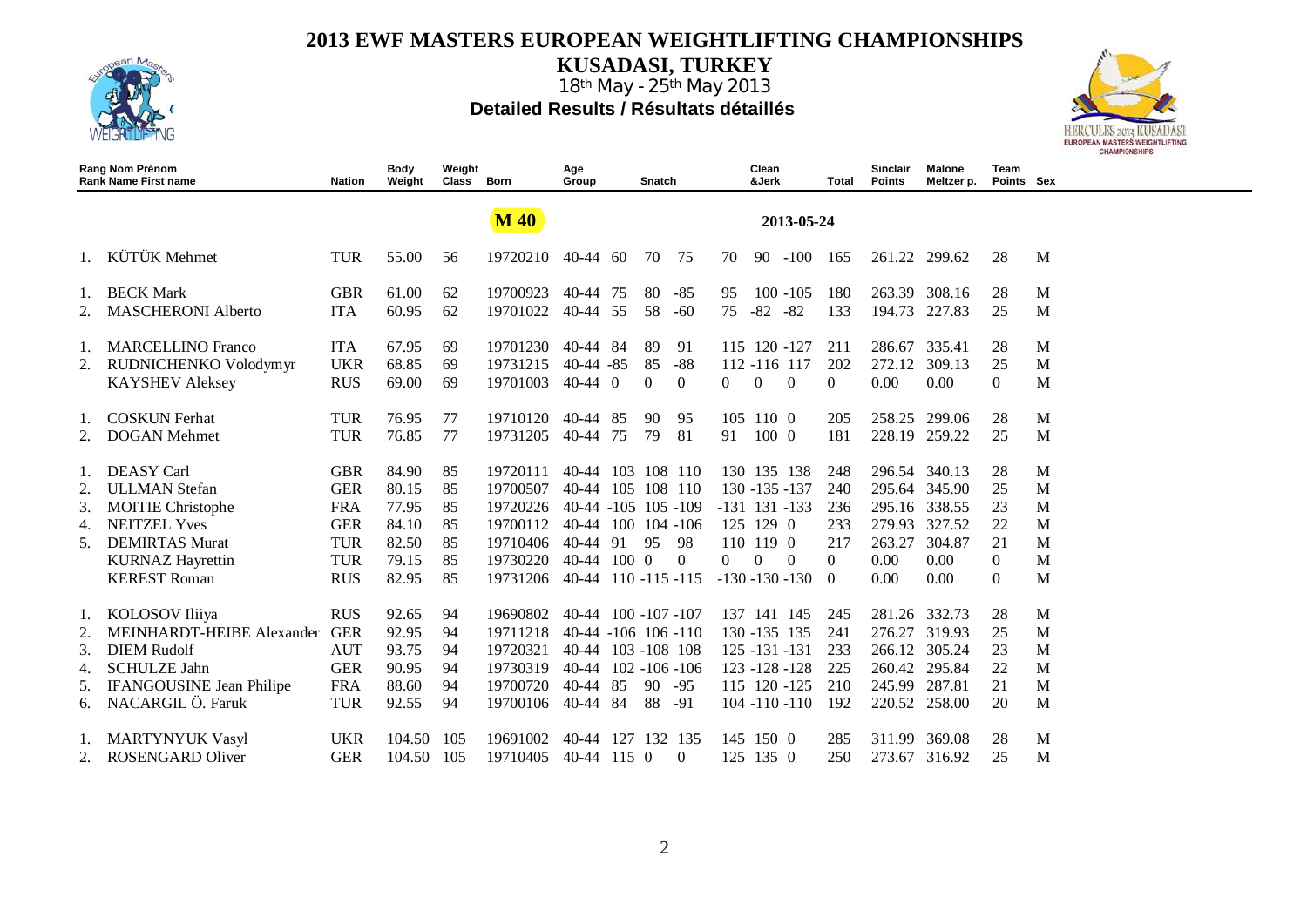

**KUSADASI, TURKEY**



|    | Rang Nom Prénom<br><b>Rank Name First name</b> | Nation     | Body<br>Weight | Weight<br>Class | Born        | Age<br>Group              |      | Snatch   |                   |          | Clean<br>&Jerk |                     | Total    | Sinclair<br><b>Points</b> | Malone<br>Meltzer p. | Team<br>Points Sex |   |
|----|------------------------------------------------|------------|----------------|-----------------|-------------|---------------------------|------|----------|-------------------|----------|----------------|---------------------|----------|---------------------------|----------------------|--------------------|---|
|    |                                                |            |                |                 | <b>M</b> 40 |                           |      |          |                   |          |                | 2013-05-24          |          |                           |                      |                    |   |
|    | KÜTÜK Mehmet                                   | <b>TUR</b> | 55.00          | 56              | 19720210    | $40-44$ 60                |      | 70       | 75                | 70       | 90             | $-100$              | 165      |                           | 261.22 299.62        | 28                 | M |
| 1. | <b>BECK Mark</b>                               | <b>GBR</b> | 61.00          | 62              | 19700923    | 40-44                     | 75   | 80       | $-85$             | 95       |                | $100 - 105$         | 180      | 263.39                    | 308.16               | 28                 | M |
| 2. | <b>MASCHERONI Alberto</b>                      | <b>ITA</b> | 60.95          | 62              | 19701022    | 40-44                     | 55   | 58       | $-60$             | 75       | $-82$          | $-82$               | 133      | 194.73                    | 227.83               | 25                 | M |
| 1. | <b>MARCELLINO Franco</b>                       | <b>ITA</b> | 67.95          | 69              | 19701230    | 40-44                     | -84  | 89       | 91                |          |                | 115 120 -127        | 211      | 286.67                    | 335.41               | 28                 | M |
| 2. | RUDNICHENKO Volodymyr                          | <b>UKR</b> | 68.85          | 69              | 19731215    | $40-44 - 85$              |      | 85       | $-88$             |          |                | 112 -116 117        | 202      | 272.12                    | 309.13               | 25                 | M |
|    | <b>KAYSHEV Aleksey</b>                         | <b>RUS</b> | 69.00          | 69              | 19701003    | $40-44$ 0                 |      | $\Omega$ | $\Omega$          | $\Omega$ | $\Omega$       | $\theta$            | $\Omega$ | 0.00                      | 0.00                 | $\Omega$           | M |
| 1. | <b>COSKUN</b> Ferhat                           | TUR        | 76.95          | 77              | 19710120    | 40-44 85                  |      | 90       | 95                | 105      | 1100           |                     | 205      |                           | 258.25 299.06        | 28                 | M |
| 2. | <b>DOGAN Mehmet</b>                            | <b>TUR</b> | 76.85          | 77              | 19731205    | 40-44                     | 75   | 79       | 81                | 91       | 1000           |                     | 181      | 228.19                    | 259.22               | 25                 | M |
|    | <b>DEASY</b> Carl                              | <b>GBR</b> | 84.90          | 85              | 19720111    | 40-44                     | 103  |          | 108 110           |          |                | 130 135 138         | 248      | 296.54                    | 340.13               | 28                 | M |
| 2. | <b>ULLMAN</b> Stefan                           | <b>GER</b> | 80.15          | 85              | 19700507    | 40-44                     |      |          | 105 108 110       |          |                | 130 -135 -137       | 240      | 295.64                    | 345.90               | 25                 | M |
| 3. | <b>MOITIE Christophe</b>                       | <b>FRA</b> | 77.95          | 85              | 19720226    | 40-44 -105 105 -109       |      |          |                   |          |                | $-131$ $131$ $-133$ | 236      | 295.16                    | 338.55               | 23                 | M |
| 4. | <b>NEITZEL Yves</b>                            | <b>GER</b> | 84.10          | 85              | 19700112    | 40-44 100 104 -106        |      |          |                   |          | 125 129 0      |                     | 233      | 279.93                    | 327.52               | 22                 | M |
| 5. | <b>DEMIRTAS Murat</b>                          | <b>TUR</b> | 82.50          | 85              | 19710406    | 40-44 91                  |      | -95      | 98                |          | 110 119 0      |                     | 217      | 263.27                    | 304.87               | 21                 | M |
|    | <b>KURNAZ Hayrettin</b>                        | <b>TUR</b> | 79.15          | 85              | 19730220    | $40-44$ 100 0             |      |          | $\Omega$          | $\Omega$ | $\Omega$       | $\Omega$            | $\Omega$ | 0.00                      | 0.00                 | $\Omega$           | M |
|    | <b>KEREST Roman</b>                            | <b>RUS</b> | 82.95          | 85              | 19731206    | 40-44 110 -115 -115       |      |          |                   |          |                | $-130 - 130 - 130$  | $\Omega$ | 0.00                      | 0.00                 | $\Omega$           | M |
| 1. | KOLOSOV Iliiya                                 | <b>RUS</b> | 92.65          | 94              | 19690802    | $40-44$ 100 $-107$ $-107$ |      |          |                   |          |                | 137 141 145         | 245      | 281.26                    | 332.73               | 28                 | M |
| 2. | MEINHARDT-HEIBE Alexander                      | <b>GER</b> | 92.95          | 94              | 19711218    | $40-44 - 106$ 106 $-110$  |      |          |                   |          |                | 130 - 135 135       | 241      | 276.27                    | 319.93               | 25                 | M |
| 3. | <b>DIEM Rudolf</b>                             | <b>AUT</b> | 93.75          | 94              | 19720321    | 40-44                     |      |          | 103 -108 108      |          |                | $125 - 131 - 131$   | 233      | 266.12                    | 305.24               | 23                 | M |
| 4. | <b>SCHULZE Jahn</b>                            | <b>GER</b> | 90.95          | 94              | 19730319    | $40 - 44$                 |      |          | $102 - 106 - 106$ |          |                | 123 - 128 - 128     | 225      | 260.42                    | 295.84               | 22                 | M |
| 5. | <b>IFANGOUSINE Jean Philipe</b>                | <b>FRA</b> | 88.60          | 94              | 19700720    | $40 - 44$                 | 85   | 90       | $-95$             |          |                | 115 120 -125        | 210      | 245.99                    | 287.81               | 21                 | M |
| 6. | NACARGIL Ö. Faruk                              | <b>TUR</b> | 92.55          | 94              | 19700106    | 40-44 84                  |      | 88       | $-91$             |          |                | $104 - 110 - 110$   | 192      | 220.52                    | 258.00               | 20                 | M |
|    | <b>MARTYNYUK Vasyl</b>                         | <b>UKR</b> | 104.50         | 105             | 19691002    | 40-44                     |      |          | 127 132 135       |          | 145, 150, 0    |                     | 285      | 311.99                    | 369.08               | 28                 | M |
| 2. | <b>ROSENGARD Oliver</b>                        | <b>GER</b> | 104.50         | 105             | 19710405    | 40-44                     | 1150 |          | $\Omega$          |          | 125 135 0      |                     | 250      | 273.67                    | 316.92               | 25                 | M |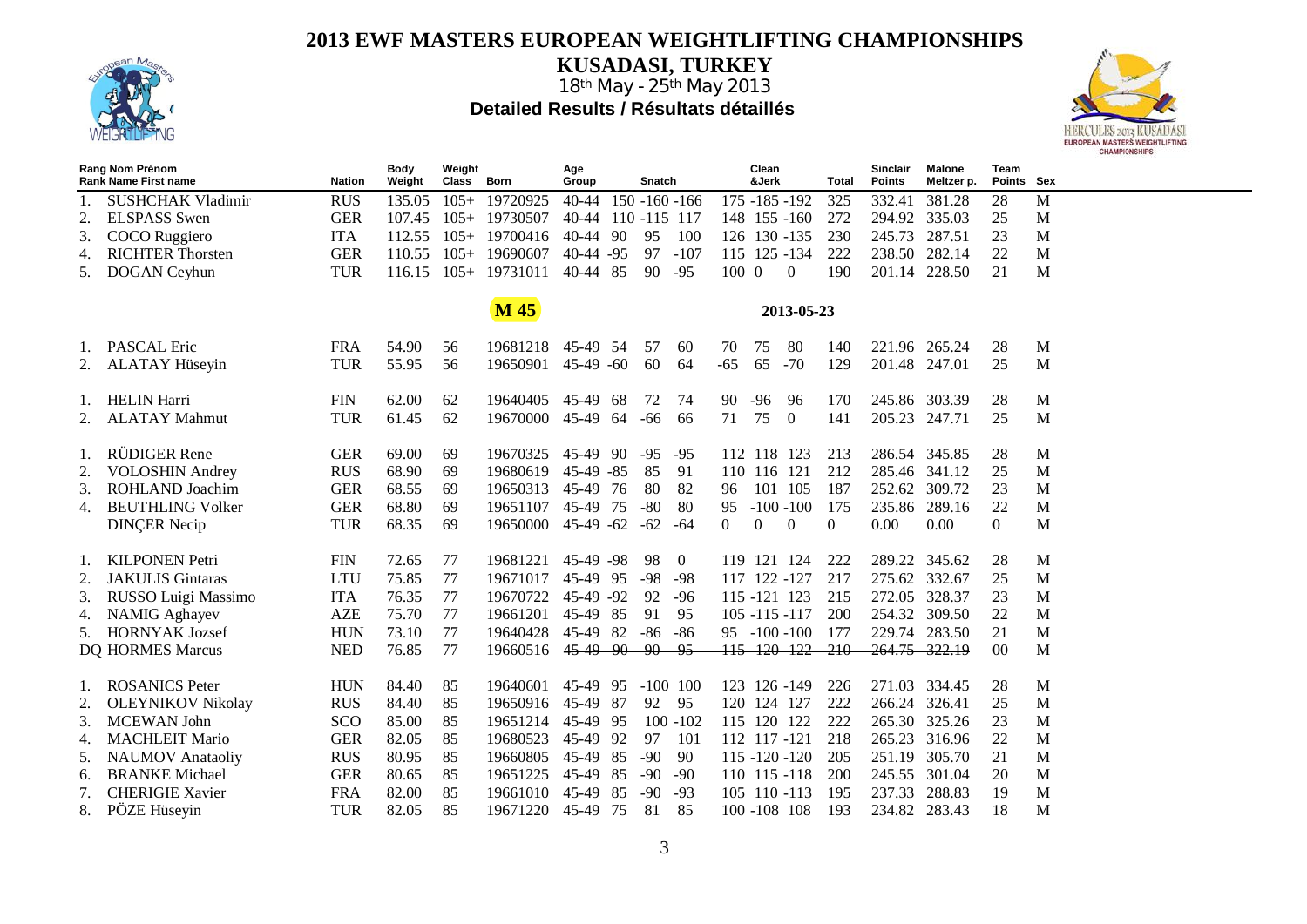

**KUSADASI, TURKEY** 18th May - 25th May 2013

**Detailed Results / Résultats détaillés** 



|    | Rang Nom Prénom<br><b>Rank Name First name</b> | <b>Nation</b> | Body<br>Weight | Weight<br>Class Born |                    | Age<br>Group       |      | Snatch            |             |       | Clean<br>&Jerk |                   | Total        | <b>Sinclair</b><br>Points | <b>Malone</b><br>Meltzer p. | <b>Team</b><br>Points Sex |   |
|----|------------------------------------------------|---------------|----------------|----------------------|--------------------|--------------------|------|-------------------|-------------|-------|----------------|-------------------|--------------|---------------------------|-----------------------------|---------------------------|---|
|    | <b>SUSHCHAK Vladimir</b>                       | <b>RUS</b>    | 135.05         | $105+$               | 19720925           | $40 - 44$          |      | $150 - 160 - 166$ |             |       |                | 175 -185 -192     | 325          | 332.41                    | 381.28                      | 28                        | M |
| 2. | <b>ELSPASS</b> Swen                            | <b>GER</b>    | 107.45         | $105+$               | 19730507           | 40-44 110 -115 117 |      |                   |             |       |                | 148 155 -160      | 272          | 294.92 335.03             |                             | 25                        | M |
| 3. | COCO Ruggiero                                  | <b>ITA</b>    | 112.55         | $105+$               | 19700416           | 40-44 90           |      | 95                | 100         |       |                | 126 130 -135      | 230          | 245.73                    | 287.51                      | 23                        | M |
| 4. | <b>RICHTER Thorsten</b>                        | <b>GER</b>    | 110.55         | $105+$               | 19690607           | $40-44 - 95$       |      | 97                | $-107$      |       |                | 115 125 -134      | 222          | 238.50                    | 282.14                      | 22                        | M |
| 5. | DOGAN Ceyhun                                   | <b>TUR</b>    | 116.15         | $105+$               | 19731011           | 40-44 85           |      | 90                | $-95$       | 100 0 |                | $\overline{0}$    | 190          | 201.14                    | 228.50                      | 21                        | M |
|    |                                                |               |                |                      |                    |                    |      |                   |             |       |                |                   |              |                           |                             |                           |   |
|    |                                                |               |                |                      | <b>M</b> 45        |                    |      |                   |             |       |                | 2013-05-23        |              |                           |                             |                           |   |
| Ι. | <b>PASCAL Eric</b>                             | <b>FRA</b>    | 54.90          | 56                   | 19681218           | 45-49 54           |      | -57               | 60          | 70    | 75             | 80                | 140          | 221.96 265.24             |                             | 28                        | M |
|    | <b>ALATAY Hüseyin</b>                          | <b>TUR</b>    | 55.95          | 56                   | 19650901           | $45-49$ -60        |      | 60                | 64          | $-65$ | 65             | $-70$             | 129          | 201.48 247.01             |                             | 25                        | M |
|    |                                                |               |                |                      |                    |                    |      |                   |             |       |                |                   |              |                           |                             |                           |   |
|    | <b>HELIN Harri</b>                             | <b>FIN</b>    | 62.00          | 62                   | 19640405 45-49 68  |                    |      | 72                | 74          | 90    | $-96$          | 96                | 170          | 245.86 303.39             |                             | 28                        | M |
| 2. | <b>ALATAY Mahmut</b>                           | <b>TUR</b>    | 61.45          | 62                   | 19670000 45-49     |                    | 64   | -66               | 66          | 71    | 75             | $\overline{0}$    | 141          | 205.23 247.71             |                             | 25                        | M |
|    |                                                |               |                |                      |                    |                    |      |                   |             |       |                |                   |              |                           |                             |                           |   |
| 1. | RÜDIGER Rene                                   | <b>GER</b>    | 69.00          | 69                   | 19670325           | 45-49 90           |      | -95               | -95         |       |                | 112 118 123       | 213          | 286.54 345.85             |                             | 28                        | M |
| 2. | <b>VOLOSHIN Andrey</b>                         | <b>RUS</b>    | 68.90          | 69                   | 19680619           | $45-49 - 85$       |      | 85                | 91          |       | 110 116 121    |                   | 212          | 285.46 341.12             |                             | 25                        | M |
| 3. | ROHLAND Joachim                                | <b>GER</b>    | 68.55          | 69                   | 19650313           | 45-49 76           |      | 80                | 82          | 96    |                | 101 105           | 187          | 252.62 309.72             |                             | 23                        | M |
| 4. | <b>BEUTHLING Volker</b>                        | <b>GER</b>    | 68.80          | 69                   | 19651107           | 45-49 75           |      | $-80$             | 80          | 95    |                | $-100 - 100$      | 175          | 235.86                    | 289.16                      | 22                        | M |
|    | <b>DINÇER Necip</b>                            | <b>TUR</b>    | 68.35          | 69                   | 19650000 45-49 -62 |                    |      | $-62$             | -64         | 0     | $\Omega$       | $\overline{0}$    | $\mathbf{0}$ | 0.00                      | 0.00                        | $\overline{0}$            | M |
|    |                                                |               |                |                      |                    |                    |      |                   |             |       |                |                   |              |                           |                             |                           |   |
| 1. | <b>KILPONEN</b> Petri                          | <b>FIN</b>    | 72.65          | 77                   | 19681221           | 45-49 -98          |      | 98                | $\bf{0}$    |       |                | 119 121 124       | 222          | 289.22 345.62             |                             | 28                        | M |
| 2. | <b>JAKULIS Gintaras</b>                        | <b>LTU</b>    | 75.85          | 77                   | 19671017           | 45-49 95           |      | $-98$             | $-98$       |       |                | 117 122 -127      | 217          | 275.62 332.67             |                             | 25                        | M |
| 3. | RUSSO Luigi Massimo                            | <b>ITA</b>    | 76.35          | 77                   | 19670722           | 45-49 -92          |      | 92                | $-96$       |       |                | 115 -121 123      | 215          | 272.05 328.37             |                             | 23                        | M |
| 4. | <b>NAMIG</b> Aghayev                           | <b>AZE</b>    | 75.70          | 77                   | 19661201           | 45-49 85           |      | 91                | 95          |       |                | $105 - 115 - 117$ | 200          | 254.32 309.50             |                             | 22                        | M |
| 5. | <b>HORNYAK Jozsef</b>                          | <b>HUN</b>    | 73.10          | 77                   | 19640428           | 45-49 82           |      | -86               | -86         |       |                | $95 - 100 - 100$  | 177          | 229.74 283.50             |                             | 21                        | M |
|    | DQ HORMES Marcus                               | <b>NED</b>    | 76.85          | 77                   | 19660516           | 45 49 90           |      | $-90$             | -95         |       |                | 115 120 122 210   |              | 264.75 322.19             |                             | $00\,$                    | M |
|    |                                                |               |                |                      |                    |                    |      |                   |             |       |                |                   |              |                           |                             |                           |   |
| Ι. | <b>ROSANICS</b> Peter                          | <b>HUN</b>    | 84.40          | 85                   | 19640601           | 45-49 95           |      | $-100$ 100        |             |       |                | 123 126 -149      | 226          | 271.03 334.45             |                             | 28                        | M |
| 2. | <b>OLEYNIKOV Nikolay</b>                       | <b>RUS</b>    | 84.40          | 85                   | 19650916           | 45-49              | - 87 | 92                | 95          |       | 120 124 127    |                   | 222          | 266.24                    | 326.41                      | 25                        | M |
| 3. | <b>MCEWAN</b> John                             | SCO           | 85.00          | 85                   | 19651214           | 45-49 95           |      |                   | $100 - 102$ |       |                | 115 120 122       | 222          | 265.30                    | 325.26                      | 23                        | M |
| 4. | <b>MACHLEIT Mario</b>                          | <b>GER</b>    | 82.05          | 85                   | 19680523           | 45-49 92           |      | 97                | 101         |       |                | 112 117 -121      | 218          | 265.23 316.96             |                             | 22                        | M |
| 5. | <b>NAUMOV</b> Anataoliy                        | <b>RUS</b>    | 80.95          | 85                   | 19660805           | 45-49              | 85   | $-90$             | 90          |       |                | $115 - 120 - 120$ | 205          | 251.19                    | 305.70                      | 21                        | M |
| 6. | <b>BRANKE</b> Michael                          | <b>GER</b>    | 80.65          | 85                   | 19651225           | 45-49              | 85   | $-90$             | $-90$       |       |                | 110 115 -118      | 200          | 245.55 301.04             |                             | 20                        | M |
| 7. | <b>CHERIGIE Xavier</b>                         | <b>FRA</b>    | 82.00          | 85                   | 19661010           | 45-49              | 85   | $-90$             | $-93$       |       |                | 105 110 -113      | 195          | 237.33                    | 288.83                      | 19                        | M |
| 8. | PÖZE Hüseyin                                   | <b>TUR</b>    | 82.05          | 85                   | 19671220           | 45-49              | 75   | 81                | 85          |       |                | 100 -108 108      | 193          | 234.82                    | 283.43                      | 18                        | M |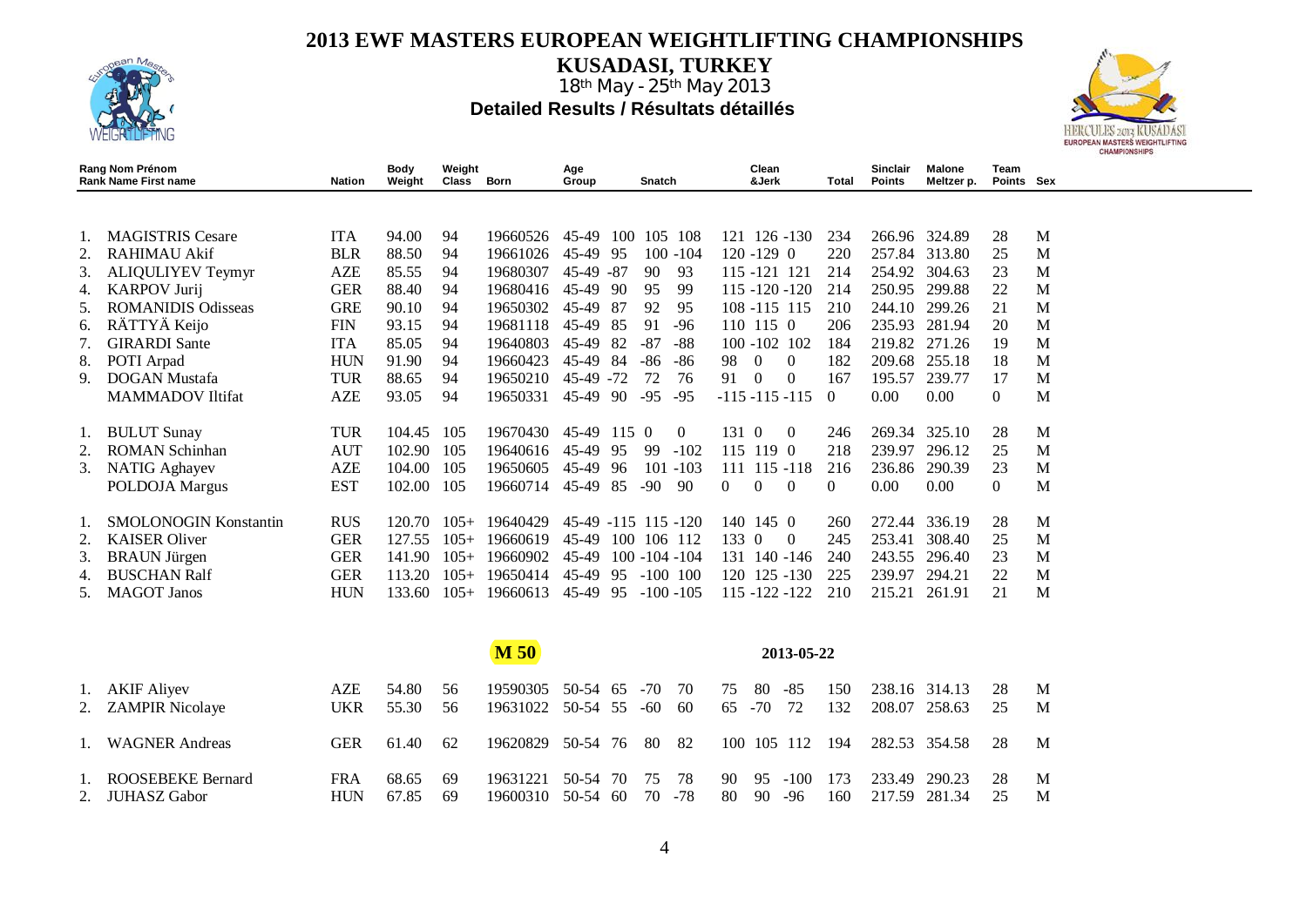

**KUSADASI, TURKEY**

18<sup>th</sup> May - 25<sup>th</sup> May 2013 **Detailed Results / Résultats détaillés** 



|               | Rang Nom Prénom<br><b>Rank Name First name</b> | Nation     | Body<br>Weight | Weight<br>Class Born |          | Age<br>Group   | Snatch                     | Clean<br>&Jerk                  | Total    | Sinclair<br>Points | <b>Malone</b><br>Meltzer p. | <b>Team</b><br>Points Sex |   |
|---------------|------------------------------------------------|------------|----------------|----------------------|----------|----------------|----------------------------|---------------------------------|----------|--------------------|-----------------------------|---------------------------|---|
|               |                                                |            |                |                      |          |                |                            |                                 |          |                    |                             |                           |   |
|               | <b>MAGISTRIS Cesare</b>                        | <b>ITA</b> | 94.00          | 94                   | 19660526 | 45-49          | 105 108<br>100             | $126 - 130$<br>121              | 234      |                    | 266.96 324.89               | 28                        | M |
|               | <b>RAHIMAU Akif</b>                            | <b>BLR</b> | 88.50          | 94                   | 19661026 | 45-49<br>-95   | $100 - 104$                | $120 - 129 = 0$                 | 220      |                    | 257.84 313.80               | 25                        | M |
| 3.            | ALIQULIYEV Teymyr                              | <b>AZE</b> | 85.55          | 94                   | 19680307 | 45-49<br>-87   | 90<br>93                   | 115 - 121 121                   | 214      | 254.92             | 304.63                      | 23                        | M |
| 4.            | <b>KARPOV Jurij</b>                            | <b>GER</b> | 88.40          | 94                   | 19680416 | 45-49<br>-90   | 99<br>95                   | 115 -120 -120                   | 214      | 250.95             | 299.88                      | 22                        | M |
| $\mathcal{L}$ | <b>ROMANIDIS Odisseas</b>                      | <b>GRE</b> | 90.10          | 94                   | 19650302 | 45-49<br>-87   | 92<br>95                   | 108 -115 115                    | 210      | 244.10             | 299.26                      | 21                        | M |
| 6.            | RÄTTYÄ Keijo                                   | <b>FIN</b> | 93.15          | 94                   | 19681118 | 45-49<br>-85   | 91<br>$-96$                | 110 115 0                       | 206      | 235.93             | 281.94                      | 20                        | M |
|               | <b>GIRARDI</b> Sante                           | <b>ITA</b> | 85.05          | 94                   | 19640803 | 45-49<br>82    | -87<br>-88                 | 100 -102 102                    | 184      | 219.82             | 271.26                      | 19                        | M |
| 8.            | POTI Arpad                                     | <b>HUN</b> | 91.90          | 94                   | 19660423 | 45-49<br>-84   | -86<br>-86                 | 98<br>$\Omega$<br>$\Omega$      | 182      | 209.68             | 255.18                      | 18                        | M |
| 9.            | <b>DOGAN Mustafa</b>                           | <b>TUR</b> | 88.65          | 94                   | 19650210 | 45-49<br>$-72$ | 72<br>76                   | 91<br>$\Omega$<br>$\Omega$      | 167      | 195.57             | 239.77                      | 17                        | M |
|               | <b>MAMMADOV</b> Iltifat                        | <b>AZE</b> | 93.05          | 94                   | 19650331 | 45-49<br>-90   | $-95$<br>$-95$             | $-115 - 115 - 115$              | $\theta$ | 0.00               | 0.00                        | $\overline{0}$            | M |
| 1.            | <b>BULUT</b> Sunay                             | <b>TUR</b> | 104.45         | 105                  | 19670430 | 45-49          | 1150<br>$\left( 0 \right)$ | 131 0<br>$\Omega$               | 246      |                    | 269.34 325.10               | 28                        | M |
|               | <b>ROMAN Schinhan</b>                          | <b>AUT</b> | 102.90         | 105                  | 19640616 | 45-49<br>95    | -99<br>$-102$              | 115 119 0                       | 218      | 239.97             | 296.12                      | 25                        | M |
| 3.            | <b>NATIG</b> Aghayev                           | <b>AZE</b> | 104.00         | 105                  | 19650605 | 45-49<br>96    | 101<br>$-103$              | $115 - 118$<br>111              | 216      | 236.86             | 290.39                      | 23                        | M |
|               | POLDOJA Margus                                 | <b>EST</b> | 102.00         | 105                  | 19660714 | 45-49<br>-85   | $-90^{\circ}$<br>90        | 0<br>$\theta$<br>$\overline{0}$ | $\theta$ | 0.00               | 0.00                        | $\overline{0}$            | M |
|               | SMOLONOGIN Konstantin                          | <b>RUS</b> | 120.70         | $105+$               | 19640429 | 45-49          | $-115$ 115 $-120$          | 1450<br>140                     | 260      | 272.44             | 336.19                      | 28                        | M |
|               | <b>KAISER Oliver</b>                           | <b>GER</b> | 127.55         | $105+$               | 19660619 | 45-49          | 100 106 112                | 133 0<br>$\theta$               | 245      | 253.41             | 308.40                      | 25                        | M |
| 3.            | <b>BRAUN Jürgen</b>                            | <b>GER</b> | 141.90         | $105+$               | 19660902 | 45-49          | $100 - 104 - 104$          | 131 140 -146                    | 240      | 243.55             | 296.40                      | 23                        | M |
|               | <b>BUSCHAN Ralf</b>                            | <b>GER</b> | 113.20         | $105+$               | 19650414 | 45-49<br>95    | $-100$ 100                 | 120 125 -130                    | 225      | 239.97             | 294.21                      | 22                        | M |
| C.            | <b>MAGOT</b> Janos                             | <b>HUN</b> | 133.60         | $105+$               | 19660613 | 45-49<br>95    | $-100 - 105$               | 115 -122 -122                   | 210      | 215.21             | 261.91                      | 21                        | M |
|               |                                                |            |                |                      |          |                |                            |                                 |          |                    |                             |                           |   |

**M 50 2013-05-22**  1. AKIF Aliyev AZE 54.80 56 19590305 50-54 65 -70 70 75 80 -85 150 238.16 314.13 28 M UKR 55.30 56 19631022 50-54 55 -60 60 65 -70 72 132 208.07 258.63 25 M 1. WAGNER Andreas GER 61.40 62 19620829 50-54 76 80 82 100 105 112 194 282.53 354.58 28 M 1. ROOSEBEKE Bernard FRA 68.65 69 19631221 50-54 70 75 78 90 95 -100 173 233.49 290.23 28 M 2. JUHASZ Gabor HUN 67.85 69 19600310 50-54 60 70 -78 80 90 -96 160 217.59 281.34 25 M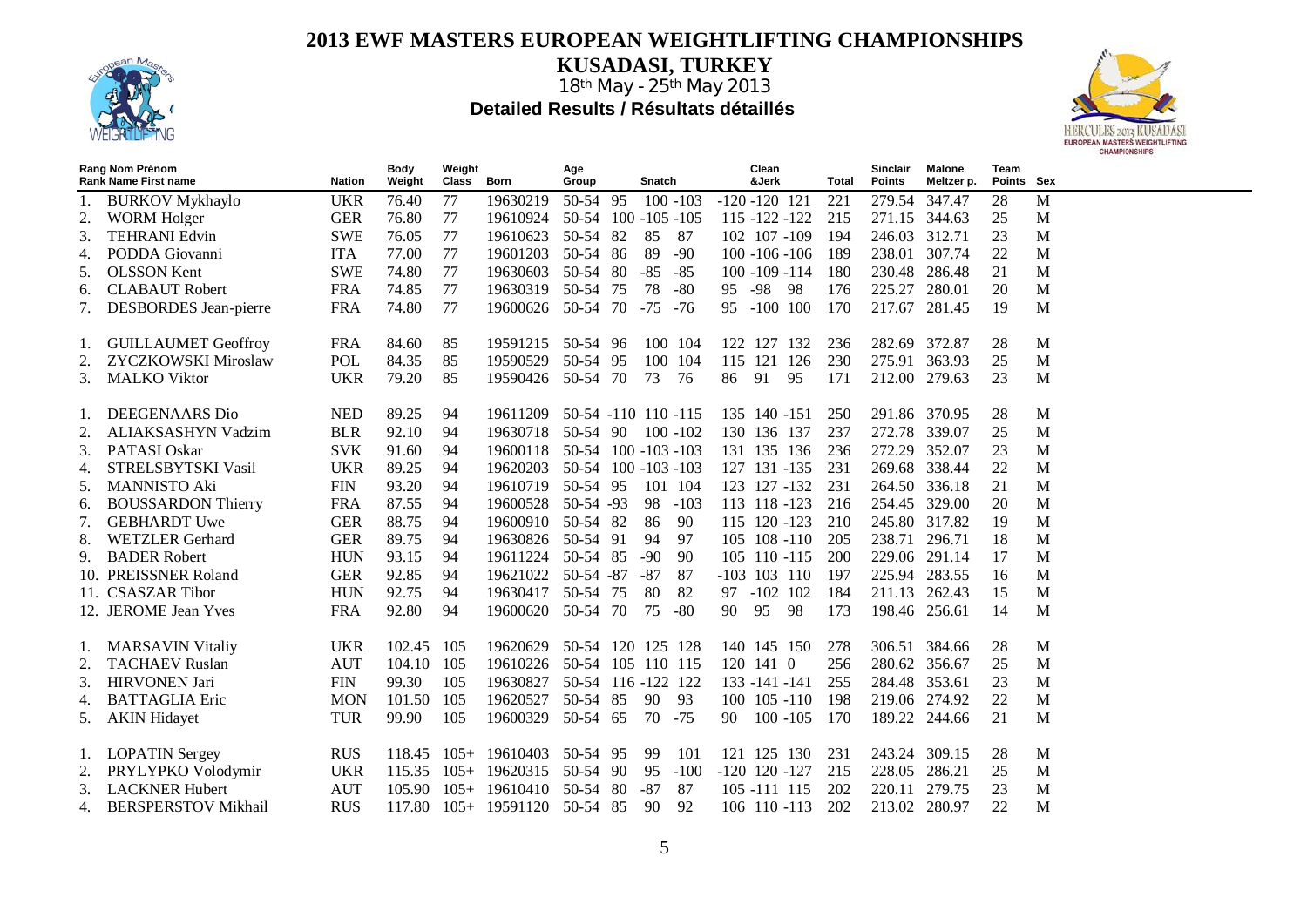

**KUSADASI, TURKEY**



|                | Rang Nom Prénom<br><b>Rank Name First name</b> | <b>Nation</b> | Body<br>Weight | Weight<br>Class | Born                         | Age<br>Group | Snatch              | Clean<br>&Jerk    | Total | <b>Sinclair</b><br>Points | Malone<br>Meltzer p. | Team<br>Points Sex |   |
|----------------|------------------------------------------------|---------------|----------------|-----------------|------------------------------|--------------|---------------------|-------------------|-------|---------------------------|----------------------|--------------------|---|
|                | <b>BURKOV Mykhaylo</b>                         | <b>UKR</b>    | 76.40          | 77              | 19630219                     | 50-54 95     | $100 - 103$         | $-120 - 120$ 121  | 221   | 279.54                    | 347.47               | 28                 | M |
|                | <b>WORM Holger</b>                             | <b>GER</b>    | 76.80          | 77              | 19610924                     |              | 50-54 100 -105 -105 | 115 -122 -122     | 215   | 271.15                    | 344.63               | 25                 | M |
| 3.             | <b>TEHRANI Edvin</b>                           | <b>SWE</b>    | 76.05          | 77              | 19610623                     | 50-54 82     | 85<br>-87           | 102 107 -109      | 194   | 246.03                    | 312.71               | 23                 | M |
| 4.             | PODDA Giovanni                                 | <b>ITA</b>    | 77.00          | 77              | 19601203                     | 50-54 86     | 89<br>$-90$         | $100 - 106 - 106$ | 189   | 238.01                    | 307.74               | 22                 | M |
| 5.             | <b>OLSSON</b> Kent                             | <b>SWE</b>    | 74.80          | 77              | 19630603                     | 50-54 80     | $-85$<br>$-85$      | $100 - 109 - 114$ | 180   | 230.48                    | 286.48               | 21                 | M |
| 6.             | <b>CLABAUT</b> Robert                          | <b>FRA</b>    | 74.85          | 77              | 19630319                     | 50-54 75     | 78<br>$-80$         | 95 - 98<br>-98    | 176   | 225.27                    | 280.01               | 20                 | M |
| 7.             | DESBORDES Jean-pierre                          | <b>FRA</b>    | 74.80          | 77              | 19600626                     | 50-54 70     | -75 -76             | 95 -100 100       | 170   | 217.67                    | 281.45               | 19                 | M |
|                |                                                |               |                |                 |                              |              |                     |                   |       |                           |                      |                    |   |
| 1.             | <b>GUILLAUMET Geoffroy</b>                     | <b>FRA</b>    | 84.60          | 85              | 19591215 50-54 96            |              | 100 104             | 122 127 132       | 236   | 282.69 372.87             |                      | 28                 | M |
| 2.             | <b>ZYCZKOWSKI Miroslaw</b>                     | <b>POL</b>    | 84.35          | 85              | 19590529 50-54 95            |              | 100 104             | 115 121 126       | 230   | 275.91 363.93             |                      | 25                 | M |
| 3.             | <b>MALKO</b> Viktor                            | <b>UKR</b>    | 79.20          | 85              | 19590426 50-54 70            |              | 73<br>- 76          | 91<br>95<br>86    | 171   | 212.00 279.63             |                      | 23                 | M |
|                |                                                |               |                |                 |                              |              |                     |                   |       |                           |                      |                    |   |
| Ι.             | DEEGENAARS Dio                                 | <b>NED</b>    | 89.25          | 94              | 19611209                     |              | 50-54 -110 110 -115 | 135 140 -151      | 250   | 291.86 370.95             |                      | 28                 | M |
| 2.             | ALIAKSASHYN Vadzim                             | <b>BLR</b>    | 92.10          | 94              | 19630718                     | 50-54 90     | $100 - 102$         | 130 136 137       | 237   | 272.78                    | 339.07               | 25                 | M |
| 3.             | PATASI Oskar                                   | <b>SVK</b>    | 91.60          | 94              | 19600118 50-54 100 -103 -103 |              |                     | 131 135 136       | 236   | 272.29                    | 352.07               | 23                 | M |
| 4.             | STRELSBYTSKI Vasil                             | <b>UKR</b>    | 89.25          | 94              | 19620203 50-54 100 -103 -103 |              |                     | 127 131 -135      | 231   | 269.68                    | 338.44               | 22                 | M |
| 5.             | <b>MANNISTO Aki</b>                            | <b>FIN</b>    | 93.20          | 94              | 19610719 50-54 95            |              | 101 104             | 123 127 -132      | 231   | 264.50                    | 336.18               | 21                 | M |
| 6.             | <b>BOUSSARDON Thierry</b>                      | <b>FRA</b>    | 87.55          | 94              | 19600528                     | $50-54 - 93$ | 98<br>$-103$        | 113 118 -123      | 216   | 254.45                    | 329.00               | 20                 | M |
| 7.             | <b>GEBHARDT Uwe</b>                            | <b>GER</b>    | 88.75          | 94              | 19600910 50-54 82            |              | 86<br>90            | 115 120 -123      | 210   | 245.80 317.82             |                      | 19                 | M |
| 8.             | <b>WETZLER</b> Gerhard                         | <b>GER</b>    | 89.75          | 94              | 19630826 50-54 91            |              | 94<br>97            | 105 108 -110      | 205   | 238.71                    | 296.71               | 18                 | M |
| 9.             | <b>BADER Robert</b>                            | <b>HUN</b>    | 93.15          | 94              | 19611224 50-54 85            |              | $-90$<br>90         | 105 110 -115      | 200   | 229.06 291.14             |                      | 17                 | M |
|                | 10. PREISSNER Roland                           | <b>GER</b>    | 92.85          | 94              | 19621022 50-54 -87           |              | $-87$<br>87         | $-103$ 103 110    | 197   | 225.94 283.55             |                      | 16                 | M |
|                | 11. CSASZAR Tibor                              | <b>HUN</b>    | 92.75          | 94              | 19630417                     | 50-54 75     | 80<br>82            | 97 -102 102       | 184   | 211.13                    | 262.43               | 15                 | M |
|                | 12. JEROME Jean Yves                           | <b>FRA</b>    | 92.80          | 94              | 19600620 50-54 70            |              | 75<br>$-80$         | 95<br>98<br>90    | 173   | 198.46 256.61             |                      | 14                 | M |
| 1.             | <b>MARSAVIN Vitaliy</b>                        | <b>UKR</b>    | 102.45         | 105             | 19620629                     |              | 50-54 120 125 128   | 140 145 150       | 278   | 306.51                    | 384.66               | 28                 | M |
|                | <b>TACHAEV Ruslan</b>                          | <b>AUT</b>    | 104.10         | 105             | 19610226 50-54 105 110 115   |              |                     | 120 141 0         | 256   | 280.62 356.67             |                      | 25                 | M |
| 3.             | <b>HIRVONEN</b> Jari                           | <b>FIN</b>    | 99.30          | 105             | 19630827                     |              | 50-54 116 -122 122  | $133 - 141 - 141$ | 255   | 284.48 353.61             |                      | 23                 | M |
| 4.             | <b>BATTAGLIA Eric</b>                          | <b>MON</b>    | 101.50         | 105             | 19620527                     | 50-54 85     | 90<br>-93           | $100 \t105 - 110$ | 198   | 219.06 274.92             |                      | 22                 | M |
| 5.             | <b>AKIN Hidayet</b>                            | <b>TUR</b>    | 99.90          | 105             | 19600329 50-54 65            |              | 70 - 75             | $100 - 105$<br>90 | 170   | 189.22 244.66             |                      | 21                 | M |
|                |                                                |               |                |                 |                              |              |                     |                   |       |                           |                      |                    |   |
| $\mathbf{I}$ . | <b>LOPATIN Sergey</b>                          | <b>RUS</b>    | 118.45         |                 | $105+ 19610403 50-54 95$     |              | 101<br>99           | 121 125 130       | 231   | 243.24 309.15             |                      | 28                 | M |
| 2.             | PRYLYPKO Volodymir                             | <b>UKR</b>    | 115.35         | $105+$          | 19620315                     | 50-54 90     | 95<br>$-100$        | $-120$ 120 $-127$ | 215   | 228.05                    | 286.21               | 25                 | M |
| 3.             | <b>LACKNER Hubert</b>                          | <b>AUT</b>    | 105.90         | $105+$          | 19610410                     | 50-54 80     | $-87$<br>87         | 105 -111 115      | 202   | 220.11                    | 279.75               | 23                 | M |
| 4.             | <b>BERSPERSTOV Mikhail</b>                     | <b>RUS</b>    | 117.80         |                 | $105+ 19591120$              | 50-54 85     | 92<br>90            | 106 110 -113      | 202   | 213.02                    | 280.97               | 22                 | M |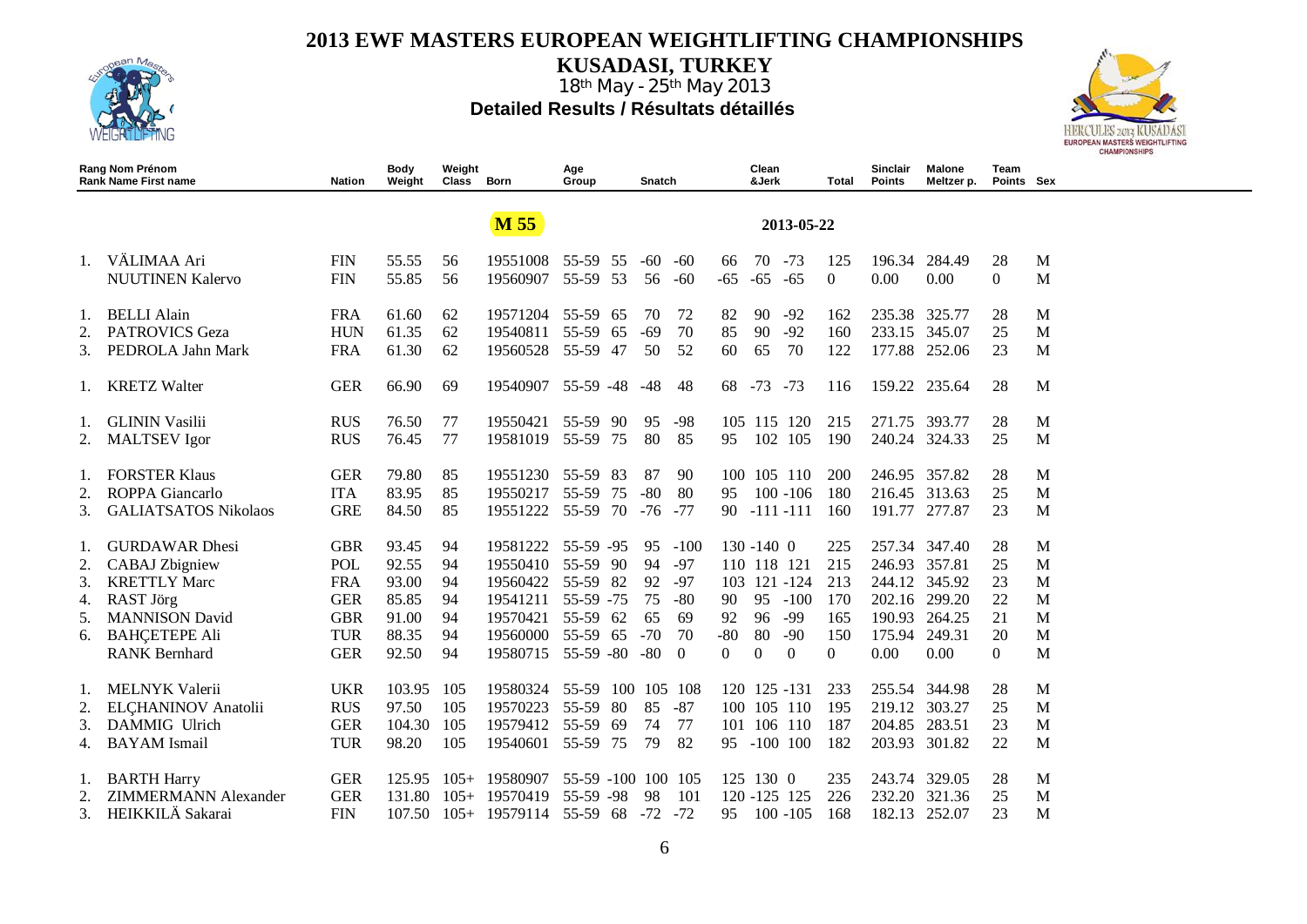

**KUSADASI, TURKEY**



|    | Rang Nom Prénom<br><b>Rank Name First name</b> | <b>Nation</b> | Body<br>Weight | Weight<br>Class | Born            | Age<br>Group       |     | Snatch  |          |          | Clean<br>&Jerk |                | Total    | Sinclair<br><b>Points</b> | Malone<br>Meltzer p. | Team<br>Points Sex |   |
|----|------------------------------------------------|---------------|----------------|-----------------|-----------------|--------------------|-----|---------|----------|----------|----------------|----------------|----------|---------------------------|----------------------|--------------------|---|
|    |                                                |               |                |                 | <b>M 55</b>     |                    |     |         |          |          |                | 2013-05-22     |          |                           |                      |                    |   |
|    |                                                |               |                |                 |                 |                    |     |         |          |          |                |                |          |                           |                      |                    |   |
| 1. | VÄLIMAA Ari                                    | <b>FIN</b>    | 55.55          | 56              | 19551008        | 55-59 55           |     | -60     | -60      | 66       | 70             | $-73$          | 125      | 196.34                    | 284.49               | 28                 | M |
|    | <b>NUUTINEN Kalervo</b>                        | <b>FIN</b>    | 55.85          | 56              | 19560907        | 55-59 53           |     | 56      | -60      | $-65$    | $-65$          | $-65$          | $\Omega$ | 0.00                      | 0.00                 | $\Omega$           | M |
|    |                                                |               |                |                 |                 |                    |     |         |          |          |                |                |          |                           |                      |                    |   |
| 1. | <b>BELLI Alain</b>                             | <b>FRA</b>    | 61.60          | 62              | 19571204        | 55-59              | -65 | 70      | 72       | 82       | 90             | $-92$          | 162      | 235.38                    | 325.77               | 28                 | M |
| 2. | <b>PATROVICS Geza</b>                          | <b>HUN</b>    | 61.35          | 62              | 19540811        | 55-59<br>65        |     | $-69$   | 70       | 85       | 90             | $-92$          | 160      | 233.15                    | 345.07               | 25                 | M |
| 3. | PEDROLA Jahn Mark                              | <b>FRA</b>    | 61.30          | 62              | 19560528        | 55-59 47           |     | 50      | 52       | 60       | 65             | 70             | 122      | 177.88                    | 252.06               | 23                 | M |
| Ι. | <b>KRETZ Walter</b>                            | <b>GER</b>    | 66.90          | 69              | 19540907        | $55-59 - 48$       |     | $-48$   | 48       | 68       | $-73$          | $-73$          | 116      | 159.22                    | 235.64               | 28                 | M |
|    |                                                |               |                |                 |                 |                    |     |         |          |          |                |                |          |                           |                      |                    |   |
| 1. | <b>GLININ Vasilii</b>                          | <b>RUS</b>    | 76.50          | 77              | 19550421        | 55-59 90           |     | 95      | $-98$    | 105      | 115 120        |                | 215      | 271.75                    | 393.77               | 28                 | M |
| 2. | <b>MALTSEV</b> Igor                            | <b>RUS</b>    | 76.45          | 77              | 19581019        | 55-59 75           |     | 80      | 85       | 95       |                | 102 105        | 190      | 240.24 324.33             |                      | 25                 | M |
|    |                                                |               |                |                 |                 |                    |     |         |          |          |                |                |          |                           |                      |                    |   |
| Ι. | <b>FORSTER Klaus</b>                           | <b>GER</b>    | 79.80          | 85              | 19551230        | 55-59<br>-83       |     | 87      | 90       | 100      |                | 105 110        | 200      | 246.95                    | 357.82               | 28                 | M |
| 2. | ROPPA Giancarlo                                | <b>ITA</b>    | 83.95          | 85              | 19550217        | 55-59              | 75  | $-80$   | 80       | 95       |                | $100 - 106$    | 180      | 216.45                    | 313.63               | 25                 | M |
| 3. | <b>GALIATSATOS Nikolaos</b>                    | <b>GRE</b>    | 84.50          | 85              | 19551222        | 55-59              | 70  | $-76$   | $-77$    | 90       |                | $-111 - 111$   | 160      | 191.77                    | 277.87               | 23                 | M |
| Ι. | <b>GURDAWAR Dhesi</b>                          | <b>GBR</b>    | 93.45          | 94              | 19581222        | $55-59 - 95$       |     | 95      | $-100$   |          | $130 - 1400$   |                | 225      |                           | 257.34 347.40        | 28                 | M |
| 2. | <b>CABAJ</b> Zbigniew                          | POL           | 92.55          | 94              | 19550410        | 55-59 90           |     | 94      | $-97$    |          | 110 118 121    |                | 215      | 246.93                    | 357.81               | 25                 | M |
| 3. | <b>KRETTLY Marc</b>                            | <b>FRA</b>    | 93.00          | 94              | 19560422        | 55-59 82           |     | 92      | $-97$    | 103      |                | 121 -124       | 213      | 244.12                    | 345.92               | 23                 | M |
| 4. | RAST Jörg                                      | <b>GER</b>    | 85.85          | 94              | 19541211        | 55-59 -75          |     | 75      | $-80$    | 90       | 95             | $-100$         | 170      | 202.16                    | 299.20               | 22                 | M |
| 5. | <b>MANNISON David</b>                          | <b>GBR</b>    | 91.00          | 94              | 19570421        | 55-59 62           |     | 65      | 69       | 92       | 96             | $-99$          | 165      | 190.93                    | 264.25               | 21                 | M |
| 6. | <b>BAHCETEPE Ali</b>                           | <b>TUR</b>    | 88.35          | 94              | 19560000        | 55-59<br>65        |     | $-70$   | 70       | $-80$    | 80             | $-90$          | 150      | 175.94                    | 249.31               | 20                 | M |
|    | <b>RANK Bernhard</b>                           | <b>GER</b>    | 92.50          | 94              | 19580715        | $55-59 - 80$       |     | $-80$   | $\theta$ | $\Omega$ | $\Omega$       | $\overline{0}$ | $\Omega$ | 0.00                      | 0.00                 | $\Omega$           | M |
|    |                                                |               |                |                 |                 |                    |     |         |          |          |                |                |          |                           |                      |                    |   |
|    | <b>MELNYK Valerii</b>                          | <b>UKR</b>    | 103.95         | 105             | 19580324        | 55-59              |     | 100 105 | -108     |          |                | 120 125 -131   | 233      | 255.54                    | 344.98               | 28                 | M |
| 2. | ELCHANINOV Anatolii                            | <b>RUS</b>    | 97.50          | 105             | 19570223        | 55-59<br>80        |     | 85      | $-87$    |          |                | 100 105 110    | 195      | 219.12                    | 303.27               | 25                 | M |
| 3. | DAMMIG Ulrich                                  | <b>GER</b>    | 104.30         | 105             | 19579412        | 55-59<br>-69       |     | 74      | 77       |          | 101 106 110    |                | 187      | 204.85                    | 283.51               | 23                 | M |
|    | <b>BAYAM</b> Ismail                            | <b>TUR</b>    | 98.20          | 105             | 19540601        | 55-59 75           |     | 79      | 82       |          | 95 -100 100    |                | 182      |                           | 203.93 301.82        | 22                 | M |
| 1. | <b>BARTH Harry</b>                             | <b>GER</b>    | 125.95         |                 | $105+ 19580907$ | 55-59 -100 100 105 |     |         |          |          | $125$ 130 0    |                | 235      | 243.74                    | 329.05               | 28                 | M |
| 2. | <b>ZIMMERMANN Alexander</b>                    | <b>GER</b>    | 131.80         | $105+$          | 19570419        | 55-59 -98          |     | 98      | 101      |          | 120 - 125 125  |                | 226      | 232.20                    | 321.36               | 25                 | M |
| 3. | HEIKKILÄ Sakarai                               | <b>FIN</b>    | 107.50         |                 | $105+ 19579114$ | 55-59 68 -72 -72   |     |         |          | 95       |                | $100 - 105$    | 168      | 182.13                    | 252.07               | 23                 | M |
|    |                                                |               |                |                 |                 |                    |     |         |          |          |                |                |          |                           |                      |                    |   |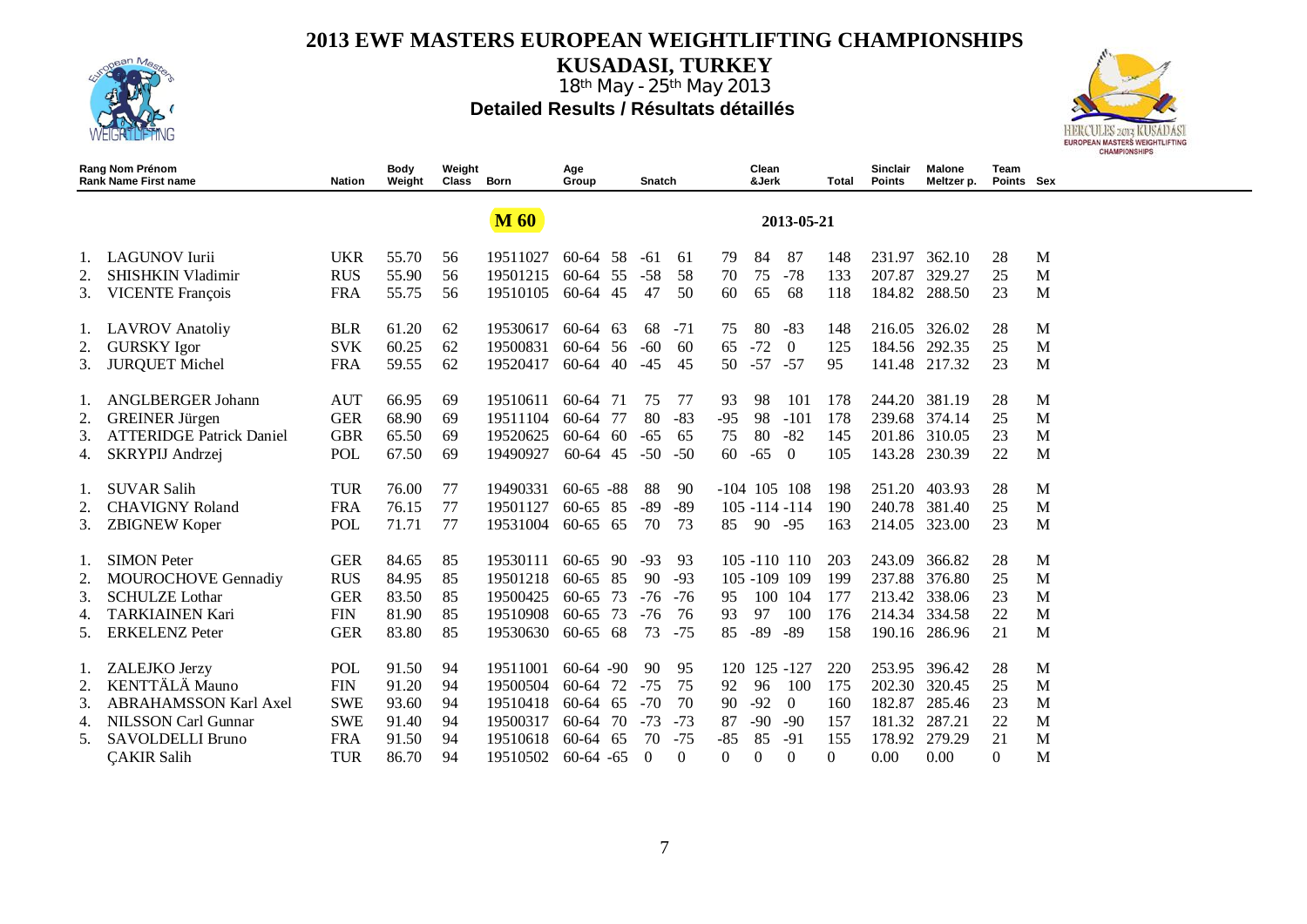

**KUSADASI, TURKEY**



|    | Rang Nom Prénom<br><b>Rank Name First name</b> | Nation     | Body<br>Weight | Weight<br>Class | Born        | Age<br>Group |      | Snatch   |          |          | Clean<br>&Jerk |                   | Total          | Sinclair<br><b>Points</b> | Malone<br>Meltzer p. | Team<br>Points Sex |   |
|----|------------------------------------------------|------------|----------------|-----------------|-------------|--------------|------|----------|----------|----------|----------------|-------------------|----------------|---------------------------|----------------------|--------------------|---|
|    |                                                |            |                |                 | <b>M</b> 60 |              |      |          |          |          |                | 2013-05-21        |                |                           |                      |                    |   |
| 1. | <b>LAGUNOV</b> Iurii                           | <b>UKR</b> | 55.70          | 56              | 19511027    | 60-64 58     |      | -61      | 61       | 79       | 84             | 87                | 148            |                           | 231.97 362.10        | 28                 | M |
| 2. | <b>SHISHKIN Vladimir</b>                       | <b>RUS</b> | 55.90          | 56              | 19501215    | 60-64        | 55   | $-58$    | 58       | 70       | 75             | $-78$             | 133            | 207.87                    | 329.27               | 25                 | M |
| 3. | <b>VICENTE François</b>                        | <b>FRA</b> | 55.75          | 56              | 19510105    | 60-64        | -45  | 47       | 50       | 60       | 65             | 68                | 118            | 184.82                    | 288.50               | 23                 | M |
| 1. | <b>LAVROV</b> Anatoliy                         | <b>BLR</b> | 61.20          | 62              | 19530617    | 60-64        | 63   | 68       | $-71$    | 75       | 80             | $-83$             | 148            |                           | 216.05 326.02        | 28                 | M |
| 2. | <b>GURSKY</b> Igor                             | <b>SVK</b> | 60.25          | 62              | 19500831    | $60-64$ 56   |      | $-60$    | 60       | 65       | $-72$          | $\overline{0}$    | 125            |                           | 184.56 292.35        | 25                 | M |
| 3. | <b>JURQUET Michel</b>                          | <b>FRA</b> | 59.55          | 62              | 19520417    | 60-64        | 40   | $-45$    | 45       | 50       | $-57$          | $-57$             | 95             |                           | 141.48 217.32        | 23                 | M |
|    | <b>ANGLBERGER Johann</b>                       | <b>AUT</b> | 66.95          | 69              | 19510611    | 60-64        | -71  | 75       | 77       | 93       | 98             | 101               | 178            |                           | 244.20 381.19        | 28                 | M |
| 2. | <b>GREINER Jürgen</b>                          | <b>GER</b> | 68.90          | 69              | 19511104    | 60-64        | -77  | 80       | $-83$    | $-95$    | 98             | $-101$            | 178            |                           | 239.68 374.14        | 25                 | M |
| 3. | <b>ATTERIDGE Patrick Daniel</b>                | <b>GBR</b> | 65.50          | 69              | 19520625    | $60 - 64$    | -60  | $-65$    | 65       | 75       | 80             | $-82$             | 145            |                           | 201.86 310.05        | 23                 | M |
| 4. | SKRYPIJ Andrzej                                | <b>POL</b> | 67.50          | 69              | 19490927    | 60-64 45     |      | $-50$    | $-50$    | 60       | $-65$          | $\bf{0}$          | 105            | 143.28                    | 230.39               | 22                 | M |
| 1. | <b>SUVAR Salih</b>                             | <b>TUR</b> | 76.00          | 77              | 19490331    | $60-65 - 88$ |      | 88       | 90       |          |                | $-104$ 105 108    | 198            | 251.20                    | 403.93               | 28                 | M |
| 2. | <b>CHAVIGNY Roland</b>                         | <b>FRA</b> | 76.15          | 77              | 19501127    | 60-65 85     |      | -89      | -89      |          |                | $105 - 114 - 114$ | 190            | 240.78                    | 381.40               | 25                 | M |
| 3. | <b>ZBIGNEW Koper</b>                           | <b>POL</b> | 71.71          | 77              | 19531004    | 60-65 65     |      | 70       | 73       | 85       | 90             | $-95$             | 163            |                           | 214.05 323.00        | 23                 | M |
|    | <b>SIMON Peter</b>                             | <b>GER</b> | 84.65          | 85              | 19530111    | $60-65$ 90   |      | $-93$    | 93       |          |                | $105 - 110$ 110   | 203            | 243.09                    | 366.82               | 28                 | M |
| 2. | MOUROCHOVE Gennadiy                            | <b>RUS</b> | 84.95          | 85              | 19501218    | $60 - 65$    | 85   | 90       | $-93$    |          |                | 105 -109 109      | 199            | 237.88                    | 376.80               | 25                 | M |
| 3. | <b>SCHULZE</b> Lothar                          | <b>GER</b> | 83.50          | 85              | 19500425    | 60-65        | 73   | $-76$    | $-76$    | 95       | 100            | 104               | 177            | 213.42                    | 338.06               | 23                 | M |
| 4. | <b>TARKIAINEN Kari</b>                         | <b>FIN</b> | 81.90          | 85              | 19510908    | $60 - 65$    | 73   | $-76$    | 76       | 93       | 97             | 100               | 176            | 214.34                    | 334.58               | 22                 | M |
| 5. | <b>ERKELENZ Peter</b>                          | <b>GER</b> | 83.80          | 85              | 19530630    | $60 - 65$    | - 68 | 73       | $-75$    | 85       | $-89$          | $-89$             | 158            |                           | 190.16 286.96        | 21                 | M |
| 1. | ZALEJKO Jerzy                                  | <b>POL</b> | 91.50          | 94              | 19511001    | $60-64 - 90$ |      | 90       | 95       | 120      |                | 125 - 127         | 220            |                           | 253.95 396.42        | 28                 | M |
| 2. | KENTTÄLÄ Mauno                                 | <b>FIN</b> | 91.20          | 94              | 19500504    | 60-64        | 72   | $-75$    | 75       | 92       | 96             | 100               | 175            | 202.30                    | 320.45               | 25                 | M |
| 3. | <b>ABRAHAMSSON Karl Axel</b>                   | <b>SWE</b> | 93.60          | 94              | 19510418    | 60-64        | 65   | $-70$    | 70       | 90       | $-92$          | $\overline{0}$    | 160            | 182.87                    | 285.46               | 23                 | M |
| 4. | <b>NILSSON Carl Gunnar</b>                     | <b>SWE</b> | 91.40          | 94              | 19500317    | 60-64        | 70   | $-73$    | $-73$    | 87       | $-90$          | -90               | 157            | 181.32                    | 287.21               | 22                 | M |
| 5. | SAVOLDELLI Bruno                               | <b>FRA</b> | 91.50          | 94              | 19510618    | 60-64        | -65  | 70       | $-75$    | $-85$    | 85             | $-91$             | 155            | 178.92                    | 279.29               | 21                 | M |
|    | <b>CAKIR Salih</b>                             | <b>TUR</b> | 86.70          | 94              | 19510502    | $60-64 - 65$ |      | $\Omega$ | $\Omega$ | $\Omega$ | $\Omega$       | $\Omega$          | $\overline{0}$ | 0.00                      | 0.00                 | $\Omega$           | M |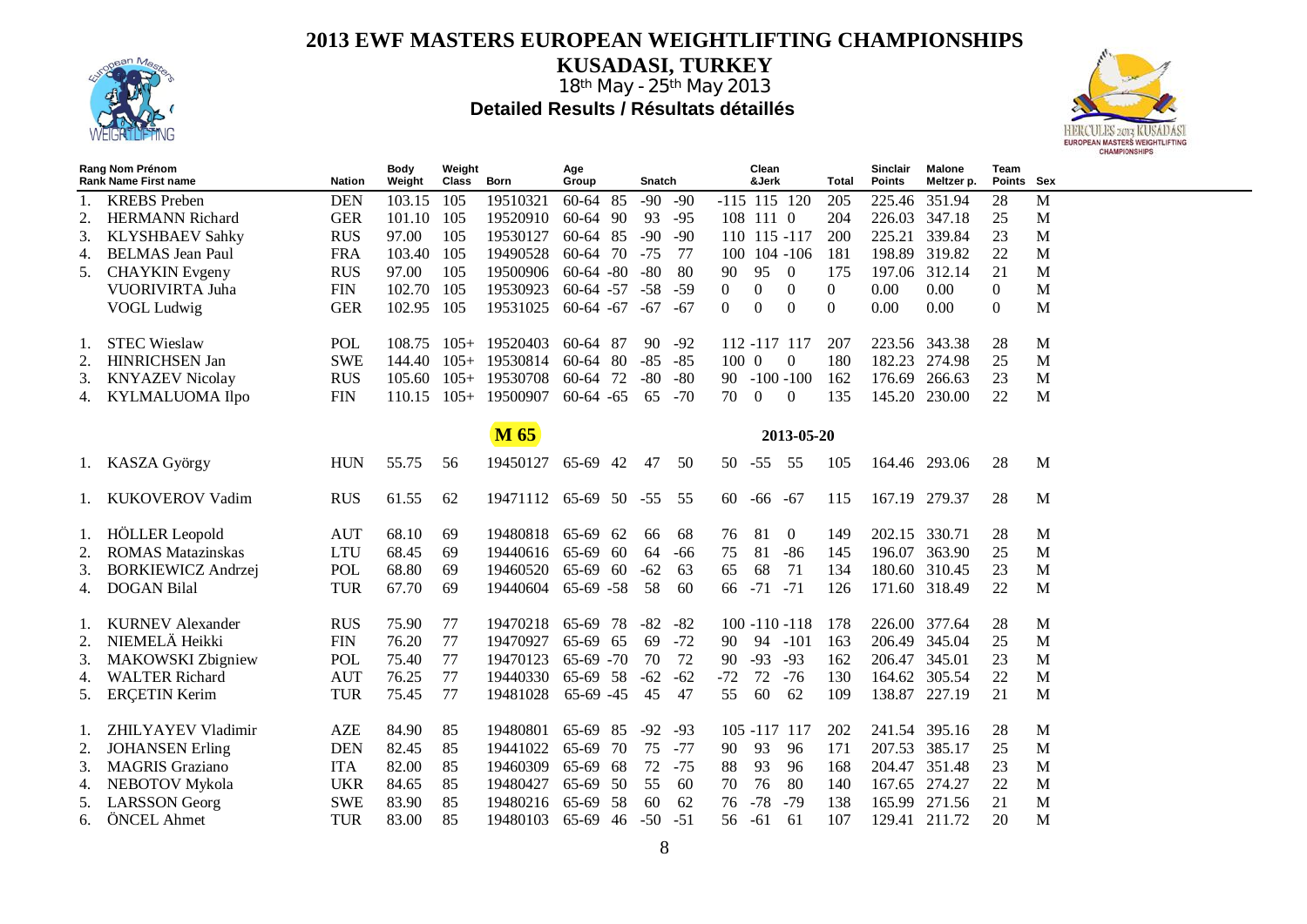

**KUSADASI, TURKEY**



|    | Rang Nom Prénom<br><b>Rank Name First name</b> | <b>Nation</b> | <b>Body</b><br>Weight | Weight<br>Class | <b>Born</b>           | Age<br>Group      |     | Snatch |       |          | Clean<br>&Jerk   |                   | Total            | <b>Sinclair</b><br><b>Points</b> | <b>Malone</b><br>Meltzer p. | Team<br>Points Sex |   |
|----|------------------------------------------------|---------------|-----------------------|-----------------|-----------------------|-------------------|-----|--------|-------|----------|------------------|-------------------|------------------|----------------------------------|-----------------------------|--------------------|---|
|    | <b>KREBS</b> Preben                            | <b>DEN</b>    | 103.15                | 105             | 19510321              | 60-64 85          |     | $-90$  | $-90$ |          | $-115$ 115 120   |                   | 205              | 225.46                           | 351.94                      | 28                 | M |
| 2. | <b>HERMANN Richard</b>                         | <b>GER</b>    | 101.10                | 105             | 19520910              | 60-64 90          |     | 93     | $-95$ |          | 108 111 0        |                   | 204              | 226.03 347.18                    |                             | 25                 | M |
| 3. | <b>KLYSHBAEV Sahky</b>                         | <b>RUS</b>    | 97.00                 | 105             | 19530127              | 60-64 85          |     | $-90$  | $-90$ |          | 110 115 -117     |                   | 200              | 225.21 339.84                    |                             | 23                 | M |
| 4. | <b>BELMAS</b> Jean Paul                        | <b>FRA</b>    | 103.40                | 105             | 19490528              | 60-64 70          |     | $-75$  | 77    |          | 100 104 -106     |                   | 181              | 198.89 319.82                    |                             | 22                 | M |
|    | <b>CHAYKIN</b> Evgeny                          | <b>RUS</b>    | 97.00                 | 105             | 19500906              | $60-64 - 80$      |     | $-80$  | 80    | 90       | 95               | $\overline{0}$    | 175              | 197.06 312.14                    |                             | 21                 | M |
|    | VUORIVIRTA Juha                                | <b>FIN</b>    | 102.70                | 105             | 19530923              | $60-64 - 57$      |     | $-58$  | $-59$ | $\Omega$ | $\overline{0}$   | $\overline{0}$    | $\boldsymbol{0}$ | 0.00                             | 0.00                        | $\mathbf{0}$       | M |
|    | VOGL Ludwig                                    | <b>GER</b>    | 102.95 105            |                 | 19531025              | $60-64 - 67 - 67$ |     |        | -67   | $\theta$ | $\overline{0}$   | $\mathbf{0}$      | $\Omega$         | 0.00                             | 0.00                        | $\overline{0}$     | M |
|    |                                                |               |                       |                 |                       |                   |     |        |       |          |                  |                   |                  |                                  |                             |                    |   |
| 1. | <b>STEC Wieslaw</b>                            | POL           |                       |                 | 108.75 105+ 19520403  | 60-64 87          |     | 90     | $-92$ |          | 112 -117 117     |                   | 207              | 223.56 343.38                    |                             | 28                 | M |
| 2. | <b>HINRICHSEN Jan</b>                          | <b>SWE</b>    | 144.40                | $105+$          | 19530814              | 60-64 80          |     | $-85$  | $-85$ | 100 0    |                  | $\overline{0}$    | 180              | 182.23 274.98                    |                             | 25                 | M |
| 3. | <b>KNYAZEV Nicolay</b>                         | <b>RUS</b>    | $105.60$ $105+$       |                 | 19530708              | 60-64 72          |     | $-80$  | $-80$ |          | $90 - 100 - 100$ |                   | 162              | 176.69 266.63                    |                             | 23                 | M |
| 4. | KYLMALUOMA Ilpo                                | <b>FIN</b>    | $110.15$ $105+$       |                 | 19500907              | $60-64 - 65$      |     | 65     | $-70$ | 70       | $\overline{0}$   | $\boldsymbol{0}$  | 135              | 145.20 230.00                    |                             | 22                 | M |
|    |                                                |               |                       |                 |                       |                   |     |        |       |          |                  |                   |                  |                                  |                             |                    |   |
|    |                                                |               |                       |                 | M 65                  |                   |     |        |       |          |                  | 2013-05-20        |                  |                                  |                             |                    |   |
|    | 1. KASZA György                                | <b>HUN</b>    | 55.75                 | 56              | 19450127 65-69 42     |                   |     | 47     | 50    | 50 - 55  |                  | - 55              | 105              | 164.46 293.06                    |                             | 28                 | M |
|    | 1. KUKOVEROV Vadim                             | <b>RUS</b>    | 61.55                 | 62              | 19471112 65-69 50 -55 |                   |     |        | 55    |          | $60 - 66 - 67$   |                   | 115              | 167.19 279.37                    |                             | 28                 | M |
|    |                                                |               |                       |                 |                       |                   |     |        |       |          |                  |                   |                  |                                  |                             |                    |   |
|    | 1. HÖLLER Leopold                              | <b>AUT</b>    | 68.10                 | 69              | 19480818              | 65-69 62          |     | 66     | 68    | 76       | 81               | $\overline{0}$    | 149              | 202.15 330.71                    |                             | 28                 | M |
| 2. | <b>ROMAS</b> Matazinskas                       | <b>LTU</b>    | 68.45                 | 69              | 19440616              | 65-69 60          |     | 64     | -66   | 75       | 81               | -86               | 145              | 196.07 363.90                    |                             | 25                 | M |
| 3. | <b>BORKIEWICZ Andrzej</b>                      | POL           | 68.80                 | 69              | 19460520              | 65-69 60          |     | $-62$  | 63    | 65       | 68               | 71                | 134              | 180.60 310.45                    |                             | 23                 | M |
| 4. | <b>DOGAN Bilal</b>                             | <b>TUR</b>    | 67.70                 | 69              | 19440604 65-69 -58    |                   |     | 58     | 60    |          | $66 - 71 - 71$   |                   | 126              | 171.60 318.49                    |                             | 22                 | M |
|    |                                                |               |                       |                 |                       |                   |     |        |       |          |                  |                   |                  |                                  |                             |                    |   |
| 1. | <b>KURNEV</b> Alexander                        | <b>RUS</b>    | 75.90                 | 77              | 19470218              | 65-69 78          |     | -82    | $-82$ |          |                  | $100 - 110 - 118$ | 178              | 226.00 377.64                    |                             | 28                 | M |
| 2. | NIEMELÄ Heikki                                 | <b>FIN</b>    | 76.20                 | 77              | 19470927              | 65-69 65          |     | 69     | $-72$ | 90       | 94 -101          |                   | 163              | 206.49 345.04                    |                             | 25                 | M |
| 3. | <b>MAKOWSKI</b> Zbigniew                       | <b>POL</b>    | 75.40                 | 77              | 19470123              | $65-69 - 70$      |     | 70     | 72    | 90       | $-93$            | $-93$             | 162              | 206.47 345.01                    |                             | 23                 | M |
| 4. | <b>WALTER Richard</b>                          | <b>AUT</b>    | 76.25                 | 77              | 19440330              | 65-69 58          |     | $-62$  | $-62$ | $-72$    | 72               | $-76$             | 130              | 164.62 305.54                    |                             | 22                 | M |
| 5. | <b>ERCETIN Kerim</b>                           | <b>TUR</b>    | 75.45                 | 77              | 19481028              | 65-69 -45         |     | 45     | 47    | 55       | 60               | 62                | 109              | 138.87 227.19                    |                             | 21                 | M |
|    |                                                |               |                       |                 |                       |                   |     |        |       |          |                  |                   |                  |                                  |                             |                    |   |
| 1. | ZHILYAYEV Vladimir                             | <b>AZE</b>    | 84.90                 | 85              | 19480801              | 65-69 85          |     | $-92$  | $-93$ |          | 105 -117 117     |                   | 202              | 241.54 395.16                    |                             | 28                 | M |
| 2. | <b>JOHANSEN</b> Erling                         | <b>DEN</b>    | 82.45                 | 85              | 19441022              | 65-69             | 70  | 75     | $-77$ | 90       | 93               | 96                | 171              | 207.53 385.17                    |                             | 25                 | M |
| 3. | <b>MAGRIS</b> Graziano                         | <b>ITA</b>    | 82.00                 | 85              | 19460309              | 65-69             | -68 | 72     | $-75$ | 88       | 93               | 96                | 168              | 204.47 351.48                    |                             | 23                 | M |
| 4. | NEBOTOV Mykola                                 | <b>UKR</b>    | 84.65                 | 85              | 19480427              | 65-69 50          |     | 55     | 60    | 70       | 76               | 80                | 140              | 167.65 274.27                    |                             | 22                 | M |
| 5. | <b>LARSSON</b> Georg                           | <b>SWE</b>    | 83.90                 | 85              | 19480216              | 65-69 58          |     | 60     | 62    | 76 - 78  |                  | -79               | 138              | 165.99 271.56                    |                             | 21                 | M |
| 6. | ÖNCEL Ahmet                                    | <b>TUR</b>    | 83.00                 | 85              | 19480103 65-69 46     |                   |     | $-50$  | $-51$ | 56 -61   |                  | -61               | 107              | 129.41 211.72                    |                             | 20                 | M |
|    |                                                |               |                       |                 |                       |                   |     |        |       |          |                  |                   |                  |                                  |                             |                    |   |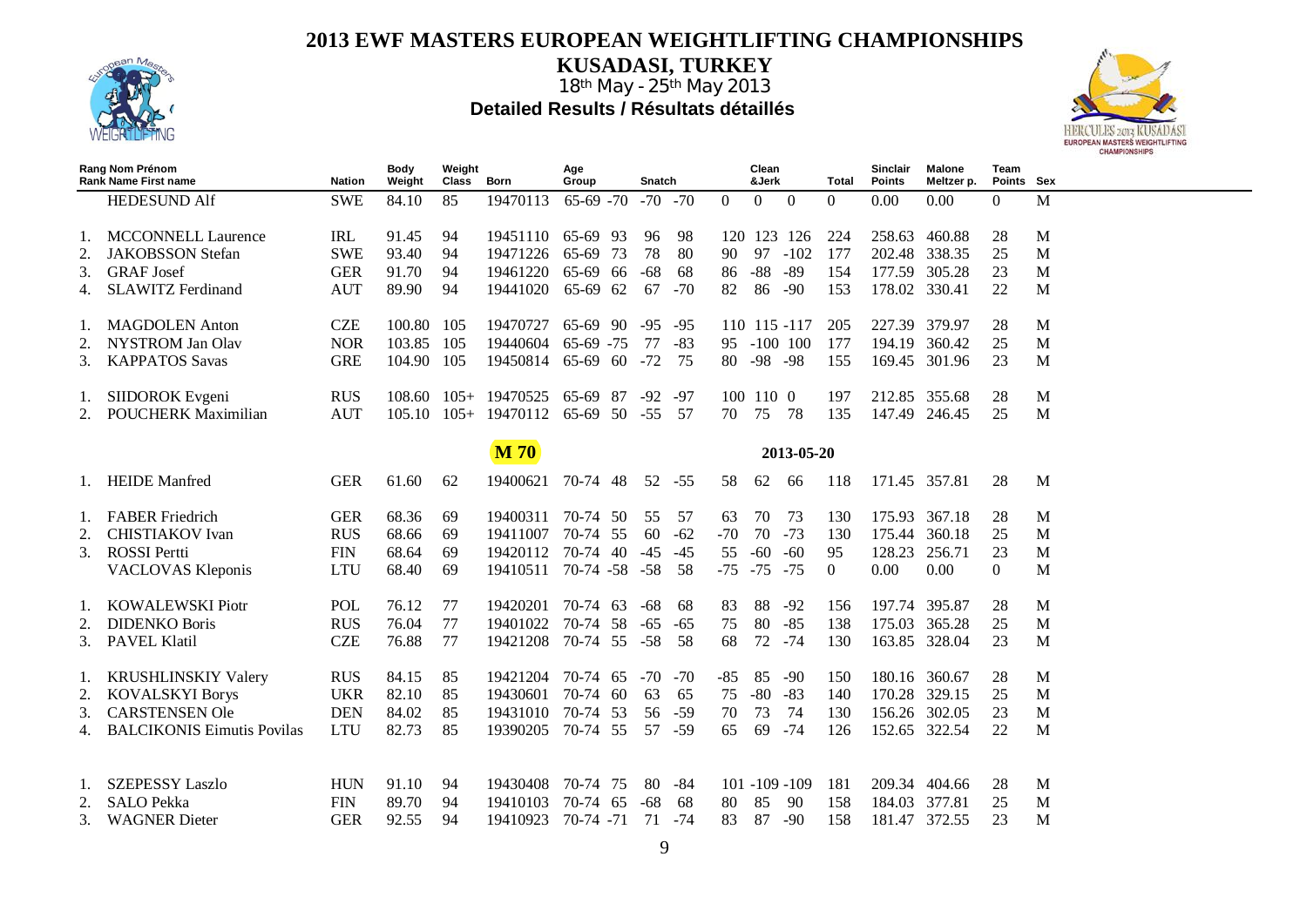

**KUSADASI, TURKEY**



|                | Rang Nom Prénom<br><b>Rank Name First name</b> | <b>Nation</b> | <b>Body</b><br>Weight | Weight<br>Class | Born                   | Age<br>Group | <b>Snatch</b> |       |                   | Clean<br>&Jerk |                   | Total          | <b>Sinclair</b><br><b>Points</b> | <b>Malone</b><br>Meltzer p. | Team<br>Points Sex |   |
|----------------|------------------------------------------------|---------------|-----------------------|-----------------|------------------------|--------------|---------------|-------|-------------------|----------------|-------------------|----------------|----------------------------------|-----------------------------|--------------------|---|
|                | <b>HEDESUND Alf</b>                            | <b>SWE</b>    | 84.10                 | 85              | 19470113               | $65-69 - 70$ | $-70 - 70$    |       | $\theta$          | $\overline{0}$ | $\overline{0}$    | $\overline{0}$ | 0.00                             | 0.00                        | $\mathbf{0}$       | M |
|                |                                                |               |                       |                 |                        |              |               |       |                   |                |                   |                |                                  |                             |                    |   |
|                | <b>MCCONNELL Laurence</b>                      | IRL           | 91.45                 | 94              | 19451110               | 65-69 93     | 96            | 98    |                   |                | 120 123 126       | 224            |                                  | 258.63 460.88               | 28                 | M |
| 2.             | <b>JAKOBSSON</b> Stefan                        | <b>SWE</b>    | 93.40                 | 94              | 19471226               | 65-69 73     | 78            | 80    | 90                | 97             | $-102$            | 177            |                                  | 202.48 338.35               | 25                 | M |
| 3.             | <b>GRAF</b> Josef                              | <b>GER</b>    | 91.70                 | 94              | 19461220               | 65-69 66     | -68           | 68    | 86                | $-88$          | $-89$             | 154            |                                  | 177.59 305.28               | 23                 | M |
|                | <b>SLAWITZ Ferdinand</b>                       | <b>AUT</b>    | 89.90                 | 94              | 19441020               | 65-69 62     | 67            | $-70$ | 82                | 86             | $-90$             | 153            | 178.02 330.41                    |                             | 22                 | M |
|                | <b>MAGDOLEN</b> Anton                          | <b>CZE</b>    | 100.80 105            |                 | 19470727               | 65-69 90     | $-95$         | $-95$ |                   |                | 110 115 -117      | 205            |                                  | 227.39 379.97               | 28                 | M |
| 2.             | <b>NYSTROM Jan Olav</b>                        | <b>NOR</b>    | 103.85                | 105             | 19440604               | $65-69$ -75  | 77            | $-83$ |                   |                | 95 -100 100       | 177            |                                  | 194.19 360.42               | 25                 | M |
| 3.             | <b>KAPPATOS Savas</b>                          | <b>GRE</b>    | 104.90 105            |                 | 19450814               | 65-69 60     | $-72$         | 75    | 80 - 98 - 98      |                |                   | 155            |                                  | 169.45 301.96               | 23                 | M |
|                |                                                |               |                       |                 |                        |              |               |       |                   |                |                   |                |                                  |                             |                    |   |
| 1.             | SIIDOROK Evgeni                                | <b>RUS</b>    |                       |                 | 108.60 105+ 19470525   | 65-69 87     | $-92$         | -97   | 100 110 0         |                |                   | 197            | 212.85 355.68                    |                             | 28                 | M |
| 2.             | <b>POUCHERK Maximilian</b>                     | <b>AUT</b>    | $105.10 \quad 105+$   |                 | 19470112               | 65-69 50     | $-55$         | - 57  | 70                | 75             | - 78              | 135            |                                  | 147.49 246.45               | 25                 | M |
|                |                                                |               |                       |                 |                        |              |               |       |                   |                |                   |                |                                  |                             |                    |   |
|                |                                                |               |                       |                 | <b>M70</b>             |              |               |       |                   |                | 2013-05-20        |                |                                  |                             |                    |   |
|                | 1. HEIDE Manfred                               | <b>GER</b>    | 61.60                 | 62              | 19400621               | 70-74 48     | 52 - 55       |       | 58                | 62             | -66               | 118            | 171.45 357.81                    |                             | 28                 | M |
|                |                                                |               |                       |                 |                        |              |               |       |                   |                |                   |                |                                  |                             |                    |   |
|                | 1. FABER Friedrich                             | <b>GER</b>    | 68.36                 | 69              | 19400311               | 70-74 50     | 55            | 57    | 63                | 70             | 73                | 130            |                                  | 175.93 367.18               | 28                 | M |
| 2.             | <b>CHISTIAKOV</b> Ivan                         | <b>RUS</b>    | 68.66                 | 69              | 19411007               | 70-74 55     | 60            | $-62$ | $-70$             | 70             | $-73$             | 130            |                                  | 175.44 360.18               | 25                 | M |
| 3.             | <b>ROSSI</b> Pertti                            | <b>FIN</b>    | 68.64                 | 69              | 19420112 70-74 40      |              | $-45$         | $-45$ | 55                | $-60$          | $-60$             | 95             | 128.23                           | 256.71                      | 23                 | M |
|                | <b>VACLOVAS Kleponis</b>                       | <b>LTU</b>    | 68.40                 | 69              | 19410511 70-74 -58 -58 |              |               | - 58  | $-75$ $-75$ $-75$ |                |                   | $\overline{0}$ | 0.00                             | 0.00                        | $\overline{0}$     | M |
| 1.             | <b>KOWALEWSKI Piotr</b>                        | <b>POL</b>    | 76.12                 | 77              | 19420201               | 70-74 63     | -68           | 68    | 83                | 88             | $-92$             | 156            |                                  | 197.74 395.87               | 28                 | M |
| 2.             | <b>DIDENKO Boris</b>                           | <b>RUS</b>    | 76.04                 | 77              | 19401022               | 70-74 58     | $-65$         | $-65$ | 75                | 80             | $-85$             | 138            |                                  | 175.03 365.28               | 25                 | M |
| 3.             | <b>PAVEL Klatil</b>                            | <b>CZE</b>    | 76.88                 | 77              | 19421208 70-74 55 -58  |              |               | - 58  | 68                | 72 - 74        |                   | 130            |                                  | 163.85 328.04               | 23                 | M |
|                |                                                |               |                       |                 |                        |              |               |       |                   |                |                   |                |                                  |                             |                    |   |
| $\mathbf{I}$ . | <b>KRUSHLINSKIY Valery</b>                     | <b>RUS</b>    | 84.15                 | 85              | 19421204               | 70-74 65     | $-70$ $-70$   |       | -85               | 85             | -90               | 150            |                                  | 180.16 360.67               | 28                 | M |
| 2.             | <b>KOVALSKYI Borys</b>                         | <b>UKR</b>    | 82.10                 | 85              | 19430601               | 70-74 60     | 63            | 65    | 75                | $-80$          | $-83$             | 140            |                                  | 170.28 329.15               | 25                 | M |
| 3.             | <b>CARSTENSEN Ole</b>                          | <b>DEN</b>    | 84.02                 | 85              | 19431010               | 70-74 53     | 56            | $-59$ | 70                | 73             | 74                | 130            |                                  | 156.26 302.05               | 23                 | M |
| 4.             | <b>BALCIKONIS Eimutis Povilas</b>              | <b>LTU</b>    | 82.73                 | 85              | 19390205               | 70-74 55     | 57            | -59   | 65                | 69             | $-74$             | 126            |                                  | 152.65 322.54               | 22                 | M |
|                |                                                |               |                       |                 |                        |              |               |       |                   |                |                   |                |                                  |                             |                    |   |
|                |                                                |               |                       |                 |                        |              |               |       |                   |                |                   |                |                                  |                             |                    |   |
| Ι.             | <b>SZEPESSY Laszlo</b>                         | <b>HUN</b>    | 91.10                 | 94              | 19430408               | 70-74 75     | 80            | -84   |                   |                | $101 - 109 - 109$ | 181            | 209.34                           | 404.66                      | 28                 | M |
| 2.             | <b>SALO Pekka</b>                              | <b>FIN</b>    | 89.70                 | 94              | 19410103               | 70-74 65     | $-68$         | 68    | 80                | 85             | -90               | 158            | 184.03 377.81                    |                             | 25                 | M |
| 3.             | <b>WAGNER</b> Dieter                           | <b>GER</b>    | 92.55                 | 94              | 19410923               | 70-74 -71    | 71            | -74   | 83                | 87             | $-90$             | 158            |                                  | 181.47 372.55               | 23                 | M |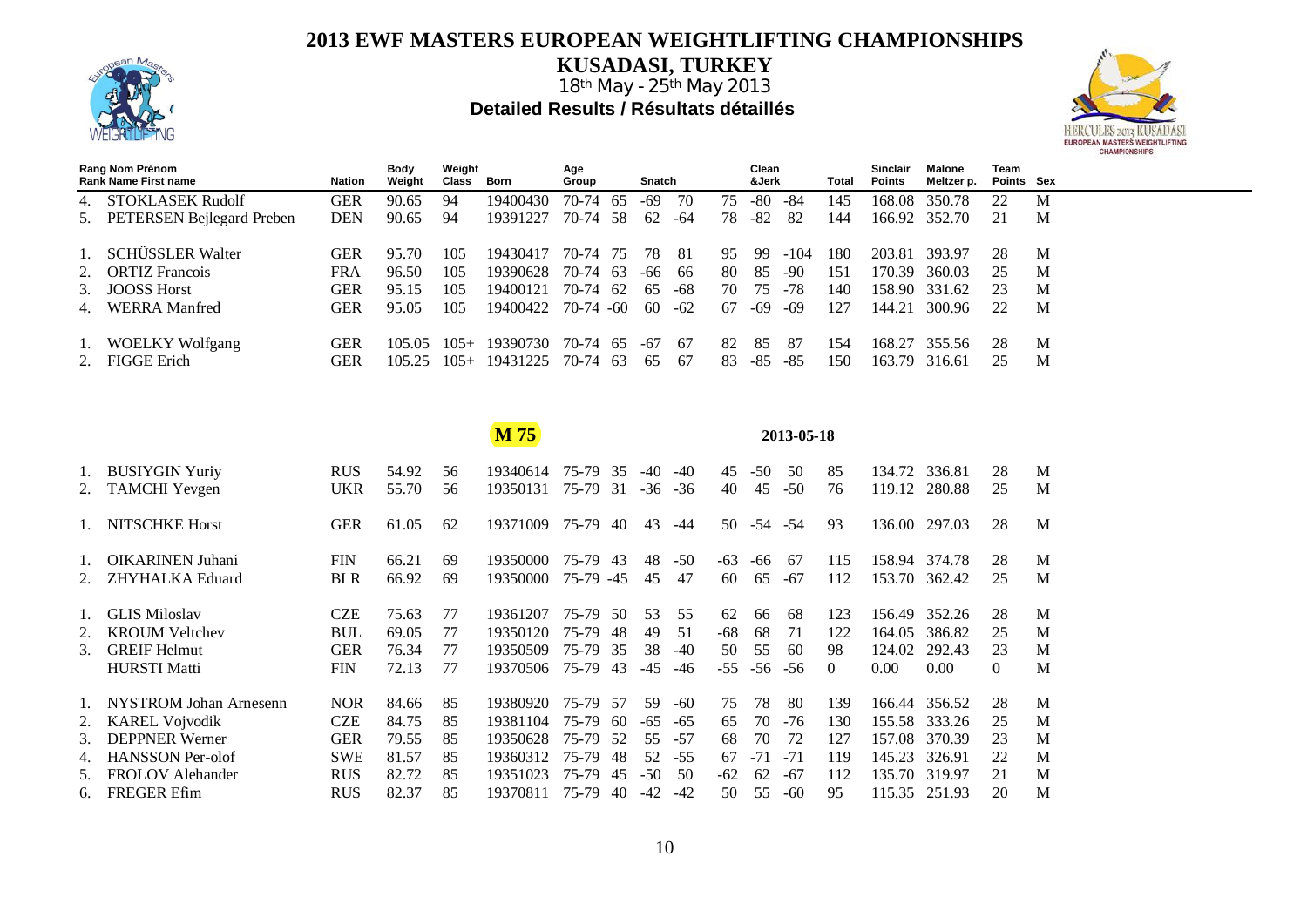

**KUSADASI, TURKEY**



|    | Rang Nom Prénom<br><b>Rank Name First name</b> | Nation     | Body<br>Weight | Weight<br>Class | Born     | Age<br>Group | Snatch |       |    | Clean<br>&Jerk |        | Total | Sinclair<br>Points | Malone<br>Meltzer p. | Team<br>Points Sex |   |
|----|------------------------------------------------|------------|----------------|-----------------|----------|--------------|--------|-------|----|----------------|--------|-------|--------------------|----------------------|--------------------|---|
|    | <b>STOKLASEK Rudolf</b>                        | <b>GER</b> | 90.65          | 94              | 19400430 | 70-74 65     | -69    | 70    | 75 | -80            | -84    | 145   | 168.08             | 350.78               | 22                 | M |
|    | 5. PETERSEN Bejlegard Preben                   | <b>DEN</b> | 90.65          | 94              | 19391227 | 70-74 58     | 62     | -64   | 78 | -82            | 82     | 144   |                    | 166.92 352.70        |                    | M |
|    | <b>SCHÜSSLER Walter</b>                        | GER        | 95.70          | 105             | 19430417 | 70-74 75     | 78     | -81   | 95 | -99            | $-104$ | 180   | 203.81             | 393.97               | 28                 | M |
|    | 2. ORTIZ Francois                              | FRA        | 96.50          | 105             | 19390628 | 70-74 63     | -66    | -66   | 80 | 85             | $-90$  | 151   | 170.39             | 360.03               | 25                 | M |
| 3. | <b>JOOSS Horst</b>                             | <b>GER</b> | 95.15          | 105             | 19400121 | 70-74 62     | 65     | -68   | 70 | 75             | -78    | 140   | 158.90             | 331.62               | 23                 | M |
|    | <b>WERRA</b> Manfred                           | GER        | 95.05          | 105             | 19400422 | $70-74 - 60$ | 60     | $-62$ | 67 | -69            | -69    | 127   | 144.21             | 300.96               | 22                 | M |
|    | <b>WOELKY Wolfgang</b>                         | GER        | 105.05         | $105+$          | 19390730 | 70-74 65     | -67    | -67   | 82 | 85             | 87     | 154   | 168.27             | 355.56               | 28                 | M |
|    | <b>FIGGE Erich</b>                             | GER        | 105.25         | $105+$          | 19431225 | 70-74 63     | 65     | -67   | 83 | -85            | -85    | 150   | 163.79             | 316.61               | 25                 | М |

|    |                               |            |       |    | M 75     |              |     |       |       |       |                | 2013-05-18 |          |        |               |          |   |
|----|-------------------------------|------------|-------|----|----------|--------------|-----|-------|-------|-------|----------------|------------|----------|--------|---------------|----------|---|
|    | 1. BUSIYGIN Yuriy             | <b>RUS</b> | 54.92 | 56 | 19340614 | 75-79        | 35  | -40   | $-40$ | 45    | $-50$          | 50         | 85       | 134.72 | 336.81        | 28       | M |
|    | 2. TAMCHI Yevgen              | UKR        | 55.70 | 56 | 19350131 | 75-79        | 31  | $-36$ | $-36$ | 40    | 45             | $-50$      | 76       | 119.12 | 280.88        | 25       | M |
|    | 1. NITSCHKE Horst             | <b>GER</b> | 61.05 | 62 | 19371009 | 75-79        | 40  | 43    | -44   |       | $50 - 54 - 54$ |            | 93       |        | 136.00 297.03 | 28       | M |
|    | 1. OIKARINEN Juhani           | <b>FIN</b> | 66.21 | 69 | 19350000 | 75-79        | 43  | 48    | $-50$ | $-63$ | -66            | -67        | 115      | 158.94 | 374.78        | 28       | M |
|    | 2. ZHYHALKA Eduard            | <b>BLR</b> | 66.92 | 69 | 19350000 | $75-79 - 45$ |     | 45    | 47    | 60    | 65             | -67        | 112      | 153.70 | 362.42        | 25       | M |
| 1. | <b>GLIS Miloslav</b>          | <b>CZE</b> | 75.63 | 77 | 19361207 | 75-79        | 50  | 53    | 55    | 62    | 66             | -68        | 123      | 156.49 | 352.26        | 28       | M |
| 2. | <b>KROUM Veltchev</b>         | <b>BUL</b> | 69.05 | 77 | 19350120 | 75-79        | 48  | 49    | 51    | $-68$ | 68             | 71         | 122      | 164.05 | 386.82        | 25       | M |
| 3. | <b>GREIF Helmut</b>           | <b>GER</b> | 76.34 | 77 | 19350509 | 75-79        | 35  | 38    | $-40$ | 50    | 55             | 60         | 98       | 124.02 | 292.43        | 23       | M |
|    | <b>HURSTI Matti</b>           | <b>FIN</b> | 72.13 | 77 | 19370506 | 75-79        | 43  | -45   | $-46$ | $-55$ | $-56$          | -56        | $\Omega$ | 0.00   | 0.00          | $\Omega$ | M |
| 1. | <b>NYSTROM Johan Arnesenn</b> | <b>NOR</b> | 84.66 | 85 | 19380920 | 75-79        | .57 | 59    | -60   | 75    | 78             | -80        | 139      | 166.44 | 356.52        | 28       | M |
|    | 2. KAREL Vojvodik             | <b>CZE</b> | 84.75 | 85 | 19381104 | 75-79        | 60  | -65   | $-65$ | 65    | 70             | $-76$      | 130      | 155.58 | 333.26        | 25       | M |
|    | 3. DEPPNER Werner             | <b>GER</b> | 79.55 | 85 | 19350628 | 75-79        | -52 | 55    | -57   | 68    | 70             | 72         | 127      | 157.08 | 370.39        | 23       | M |
|    | 4. HANSSON Per-olof           | <b>SWE</b> | 81.57 | 85 | 19360312 | 75-79        | 48  | 52    | $-55$ | 67    | $-71$          | $-71$      | 119      | 145.23 | 326.91        | 22       | M |
| 5. | <b>FROLOV</b> Alehander       | <b>RUS</b> | 82.72 | 85 | 19351023 | 75-79        | 45  | $-50$ | 50    | $-62$ | 62             | $-67$      | 112      | 135.70 | 319.97        | 21       | M |
|    | 6. FREGER Efim                | <b>RUS</b> | 82.37 | 85 | 19370811 | 75-79        | 40  | $-42$ | $-42$ | 50    | 55             | $-60$      | 95       | 115.35 | 251.93        | 20       | M |